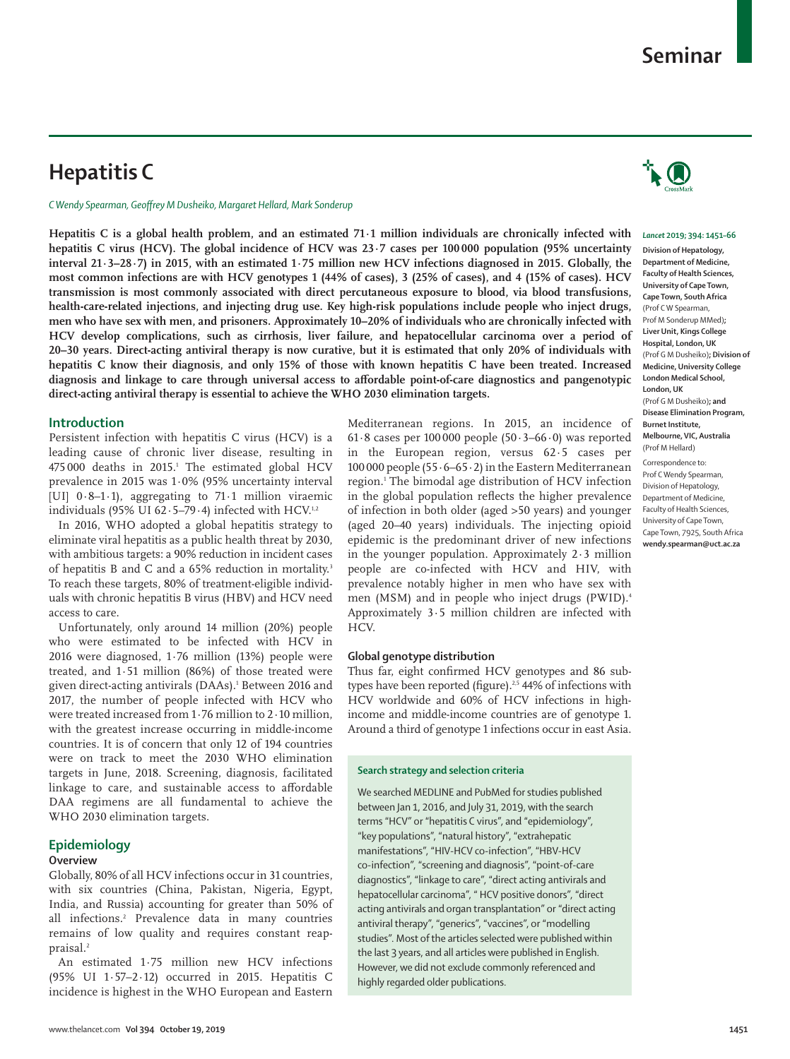# **Hepatitis C**

*C Wendy Spearman, Geoffrey M Dusheiko, Margaret Hellard, Mark Sonderup*

**Hepatitis C is a global health problem, and an estimated 71·1 million individuals are chronically infected with hepatitis C virus (HCV). The global incidence of HCV was 23·7 cases per 100 000 population (95% uncertainty interval 21·3–28·7) in 2015, with an estimated 1·75 million new HCV infections diagnosed in 2015. Globally, the most common infections are with HCV genotypes 1 (44% of cases), 3 (25% of cases), and 4 (15% of cases). HCV transmission is most commonly associated with direct percutaneous exposure to blood, via blood transfusions, health-care-related injections, and injecting drug use. Key high-risk populations include people who inject drugs, men who have sex with men, and prisoners. Approximately 10–20% of individuals who are chronically infected with HCV develop complications, such as cirrhosis, liver failure, and hepatocellular carcinoma over a period of 20–30 years. Direct-acting antiviral therapy is now curative, but it is estimated that only 20% of individuals with hepatitis C know their diagnosis, and only 15% of those with known hepatitis C have been treated. Increased diagnosis and linkage to care through universal access to affordable point-of-care diagnostics and pangenotypic direct-acting antiviral therapy is essential to achieve the WHO 2030 elimination targets.**

# **Introduction**

Persistent infection with hepatitis C virus (HCV) is a leading cause of chronic liver disease, resulting in 475 000 deaths in 2015.<sup>1</sup> The estimated global HCV prevalence in 2015 was 1·0% (95% uncertainty interval [UI] 0·8–1·1), aggregating to 71·1 million viraemic individuals (95% UI 62 $\cdot$ 5-79 $\cdot$ 4) infected with HCV.<sup>1,2</sup>

In 2016, WHO adopted a global hepatitis strategy to eliminate viral hepatitis as a public health threat by 2030, with ambitious targets: a 90% reduction in incident cases of hepatitis B and C and a 65% reduction in mortality.3 To reach these targets, 80% of treatment-eligible individuals with chronic hepatitis B virus (HBV) and HCV need access to care.

Unfortunately, only around 14 million (20%) people who were estimated to be infected with HCV in 2016 were diagnosed, 1·76 million (13%) people were treated, and 1·51 million (86%) of those treated were given direct-acting antivirals (DAAs).<sup>1</sup> Between 2016 and 2017, the number of people infected with HCV who were treated increased from 1·76 million to 2·10 million, with the greatest increase occurring in middle-income countries. It is of concern that only 12 of 194 countries were on track to meet the 2030 WHO elimination targets in June, 2018. Screening, diagnosis, facilitated linkage to care, and sustainable access to affordable DAA regimens are all fundamental to achieve the WHO 2030 elimination targets.

# **Epidemiology**

## **Overview**

Globally, 80% of all HCV infections occur in 31 countries, with six countries (China, Pakistan, Nigeria, Egypt, India, and Russia) accounting for greater than 50% of all infections.2 Prevalence data in many countries remains of low quality and requires constant reappraisal.2

An estimated 1·75 million new HCV infections (95% UI 1·57–2·12) occurred in 2015. Hepatitis C incidence is highest in the WHO European and Eastern Mediterranean regions. In 2015, an incidence of 61 $\cdot$ 8 cases per 100 000 people (50 $\cdot$ 3–66 $\cdot$ 0) was reported in the European region, versus 62·5 cases per 100 000 people (55 $\cdot$  6–65 $\cdot$ 2) in the Eastern Mediterranean region.1 The bimodal age distribution of HCV infection in the global population reflects the higher prevalence of infection in both older (aged >50 years) and younger (aged 20–40 years) individuals. The injecting opioid epidemic is the predominant driver of new infections in the younger population. Approximately  $2 \cdot 3$  million people are co-infected with HCV and HIV, with prevalence notably higher in men who have sex with men (MSM) and in people who inject drugs (PWID).<sup>4</sup> Approximately 3·5 million children are infected with HCV.

# **Global genotype distribution**

Thus far, eight confirmed HCV genotypes and 86 subtypes have been reported (figure).<sup>2,5</sup> 44% of infections with HCV worldwide and 60% of HCV infections in highincome and middle-income countries are of genotype 1. Around a third of genotype 1 infections occur in east Asia.

## **Search strategy and selection criteria**

We searched MEDLINE and PubMed for studies published between Jan 1, 2016, and July 31, 2019, with the search terms "HCV" or "hepatitis C virus", and "epidemiology", "key populations", "natural history", "extrahepatic manifestations", "HIV-HCV co-infection", "HBV-HCV co-infection", "screening and diagnosis", "point-of-care diagnostics", "linkage to care", "direct acting antivirals and hepatocellular carcinoma", " HCV positive donors", "direct acting antivirals and organ transplantation" or "direct acting antiviral therapy", "generics", "vaccines", or "modelling studies". Most of the articles selected were published within the last 3 years, and all articles were published in English. However, we did not exclude commonly referenced and highly regarded older publications.



#### *Lancet* **2019; 394: 1451–66**

**Division of Hepatology, Department of Medicine, Faculty of Health Sciences, University of Cape Town, Cape Town, South Africa** (Prof C W Spearman, Prof M Sonderup MMed)**; Liver Unit, Kings College Hospital, London, UK**  (Prof G M Dusheiko)**; Division of Medicine, University College London Medical School, London, UK**  (Prof G M Dusheiko)**; and Disease Elimination Program, Burnet Institute, Melbourne, VIC, Australia**  (Prof M Hellard)

Correspondence to: Prof C Wendy Spearman, Division of Hepatology, Department of Medicine, Faculty of Health Sciences, University of Cape Town, Cape Town, 7925, South Africa **wendy.spearman@uct.ac.za**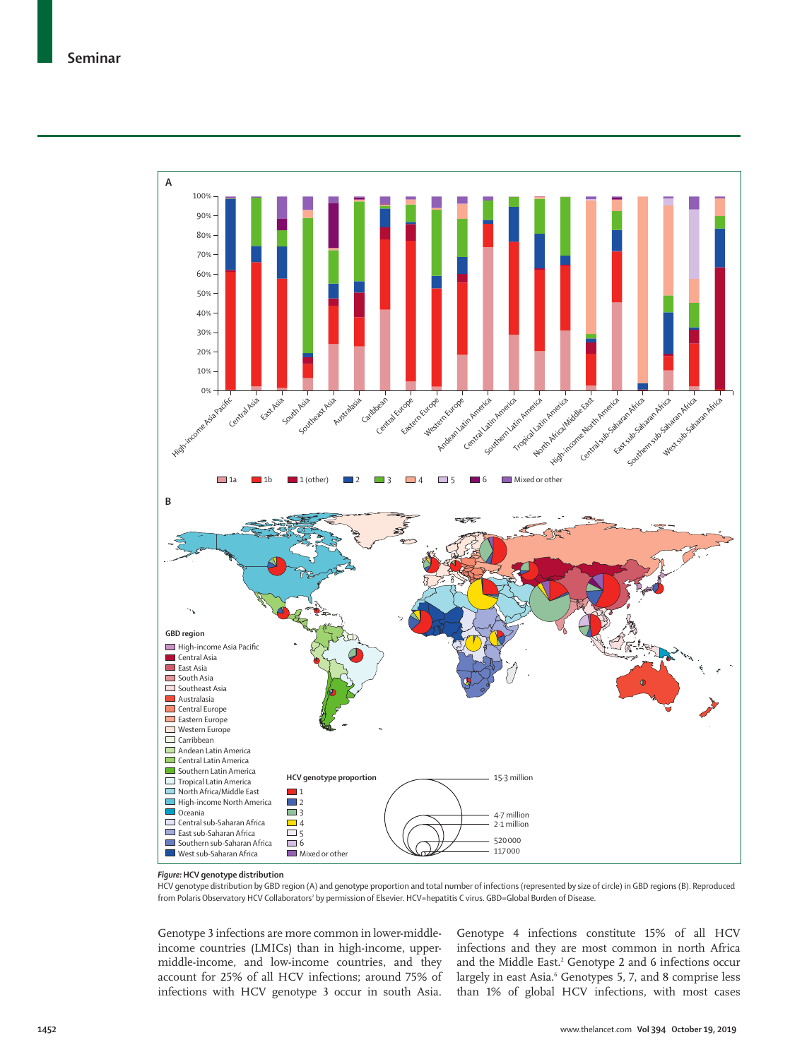

## *Figure:* **HCV genotype distribution**

HCV genotype distribution by GBD region (A) and genotype proportion and total number of infections (represented by size of circle) in GBD regions (B). Reproduced from Polaris Observatory HCV Collaborators<sup>2</sup> by permission of Elsevier. HCV=hepatitis C virus. GBD=Global Burden of Disease.

Genotype 3 infections are more common in lower-middleincome countries (LMICs) than in high-income, uppermiddle-income, and low-income countries, and they account for 25% of all HCV infections; around 75% of infections with HCV genotype 3 occur in south Asia.

Genotype 4 infections constitute 15% of all HCV infections and they are most common in north Africa and the Middle East.<sup>2</sup> Genotype 2 and 6 infections occur largely in east Asia.<sup>6</sup> Genotypes 5, 7, and 8 comprise less than 1% of global HCV infections, with most cases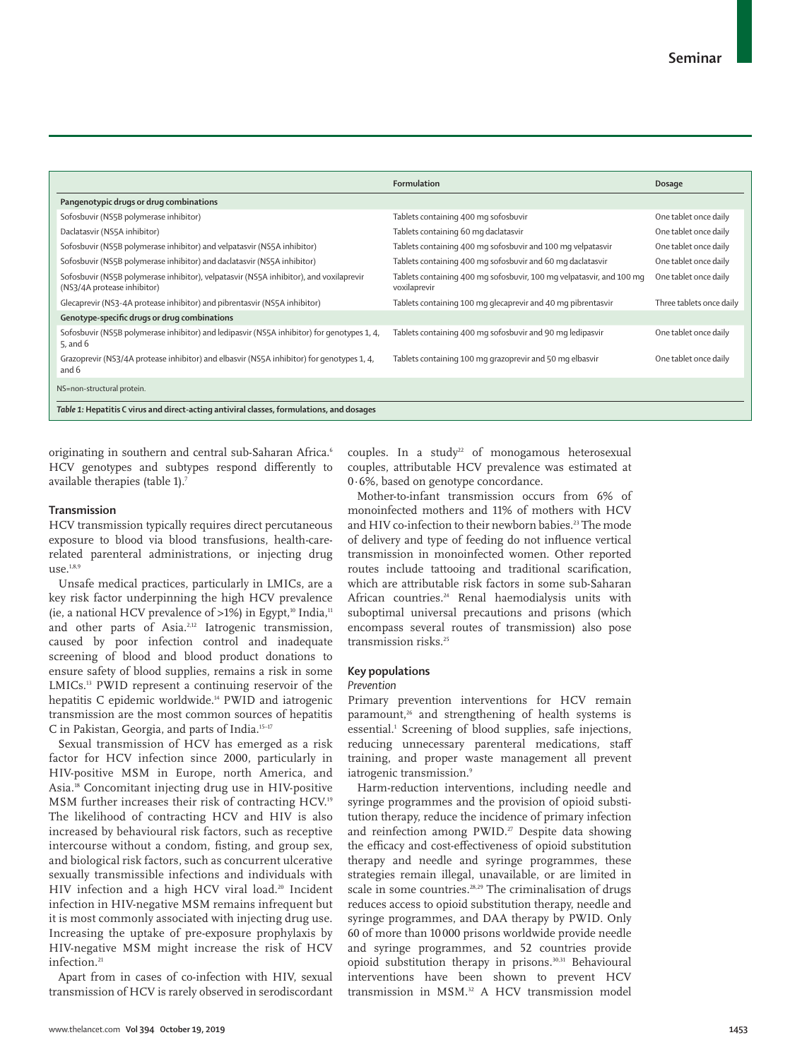|                                                                                                                       | Formulation                                                                          | Dosage                   |
|-----------------------------------------------------------------------------------------------------------------------|--------------------------------------------------------------------------------------|--------------------------|
| Pangenotypic drugs or drug combinations                                                                               |                                                                                      |                          |
| Sofosbuvir (NS5B polymerase inhibitor)                                                                                | Tablets containing 400 mg sofosbuvir                                                 | One tablet once daily    |
| Daclatasvir (NS5A inhibitor)                                                                                          | Tablets containing 60 mg daclatasvir                                                 | One tablet once daily    |
| Sofosbuvir (NS5B polymerase inhibitor) and velpatasvir (NS5A inhibitor)                                               | Tablets containing 400 mg sofosbuvir and 100 mg velpatasvir                          | One tablet once daily    |
| Sofosbuvir (NS5B polymerase inhibitor) and daclatasvir (NS5A inhibitor)                                               | Tablets containing 400 mg sofosbuvir and 60 mg daclatasvir                           | One tablet once daily    |
| Sofosbuvir (NS5B polymerase inhibitor), velpatasvir (NS5A inhibitor), and voxilaprevir<br>(NS3/4A protease inhibitor) | Tablets containing 400 mg sofosbuvir, 100 mg velpatasvir, and 100 mg<br>voxilaprevir | One tablet once daily    |
| Glecaprevir (NS3-4A protease inhibitor) and pibrentasvir (NS5A inhibitor)                                             | Tablets containing 100 mg glecaprevir and 40 mg pibrentasvir                         | Three tablets once daily |
| Genotype-specific drugs or drug combinations                                                                          |                                                                                      |                          |
| Sofosbuvir (NS5B polymerase inhibitor) and ledipasvir (NS5A inhibitor) for genotypes 1, 4,<br>5, and $6$              | Tablets containing 400 mg sofosbuvir and 90 mg ledipasvir                            | One tablet once daily    |
| Grazoprevir (NS3/4A protease inhibitor) and elbasvir (NS5A inhibitor) for genotypes 1, 4,<br>and 6                    | Tablets containing 100 mg grazoprevir and 50 mg elbasvir                             | One tablet once daily    |
| NS=non-structural protein.                                                                                            |                                                                                      |                          |
| Table 1: Hepatitis C virus and direct-acting antiviral classes, formulations, and dosages                             |                                                                                      |                          |

originating in southern and central sub-Saharan Africa.<sup>6</sup> HCV genotypes and subtypes respond differently to available therapies (table 1).7

## **Transmission**

HCV transmission typically requires direct percutaneous exposure to blood via blood transfusions, health-carerelated parenteral administrations, or injecting drug  $use.<sup>1,8,9</sup>$ 

Unsafe medical practices, particularly in LMICs, are a key risk factor underpinning the high HCV prevalence (ie, a national HCV prevalence of  $>1\%$ ) in Egypt,<sup>10</sup> India,<sup>11</sup> and other parts of Asia.<sup>2,12</sup> Iatrogenic transmission, caused by poor infection control and inadequate screening of blood and blood product donations to ensure safety of blood supplies, remains a risk in some LMICs.13 PWID represent a continuing reservoir of the hepatitis C epidemic worldwide.<sup>14</sup> PWID and iatrogenic transmission are the most common sources of hepatitis C in Pakistan, Georgia, and parts of India.15–17

Sexual transmission of HCV has emerged as a risk factor for HCV infection since 2000, particularly in HIV-positive MSM in Europe, north America, and Asia.18 Concomitant injecting drug use in HIV-positive MSM further increases their risk of contracting HCV.19 The likelihood of contracting HCV and HIV is also increased by behavioural risk factors, such as receptive intercourse without a condom, fisting, and group sex, and biological risk factors, such as concurrent ulcerative sexually transmissible infections and individuals with HIV infection and a high HCV viral load.<sup>20</sup> Incident infection in HIV-negative MSM remains infrequent but it is most commonly associated with injecting drug use. Increasing the uptake of pre-exposure prophylaxis by HIV-negative MSM might increase the risk of HCV infection.<sup>21</sup>

Apart from in cases of co-infection with HIV, sexual transmission of HCV is rarely observed in serodiscordant couples. In a study<sup>22</sup> of monogamous heterosexual couples, attributable HCV prevalence was estimated at 0·6%, based on genotype concordance.

Mother-to-infant transmission occurs from 6% of monoinfected mothers and 11% of mothers with HCV and HIV co-infection to their newborn babies.<sup>23</sup> The mode of delivery and type of feeding do not influence vertical transmission in monoinfected women. Other reported routes include tattooing and traditional scarification, which are attributable risk factors in some sub-Saharan African countries.24 Renal haemodialysis units with suboptimal universal precautions and prisons (which encompass several routes of transmission) also pose transmission risks.<sup>25</sup>

## **Key populations**

#### *Prevention*

Primary prevention interventions for HCV remain paramount,<sup>26</sup> and strengthening of health systems is essential.<sup>1</sup> Screening of blood supplies, safe injections, reducing unnecessary parenteral medications, staff training, and proper waste management all prevent iatrogenic transmission.<sup>9</sup>

Harm-reduction interventions, including needle and syringe programmes and the provision of opioid substitution therapy, reduce the incidence of primary infection and reinfection among PWID.<sup>27</sup> Despite data showing the efficacy and cost-effectiveness of opioid substitution therapy and needle and syringe programmes, these strategies remain illegal, unavailable, or are limited in scale in some countries.<sup>28,29</sup> The criminalisation of drugs reduces access to opioid substitution therapy, needle and syringe programmes, and DAA therapy by PWID. Only 60 of more than 10 000 prisons worldwide provide needle and syringe programmes, and 52 countries provide opioid substitution therapy in prisons.30,31 Behavioural interventions have been shown to prevent HCV transmission in MSM.32 A HCV transmission model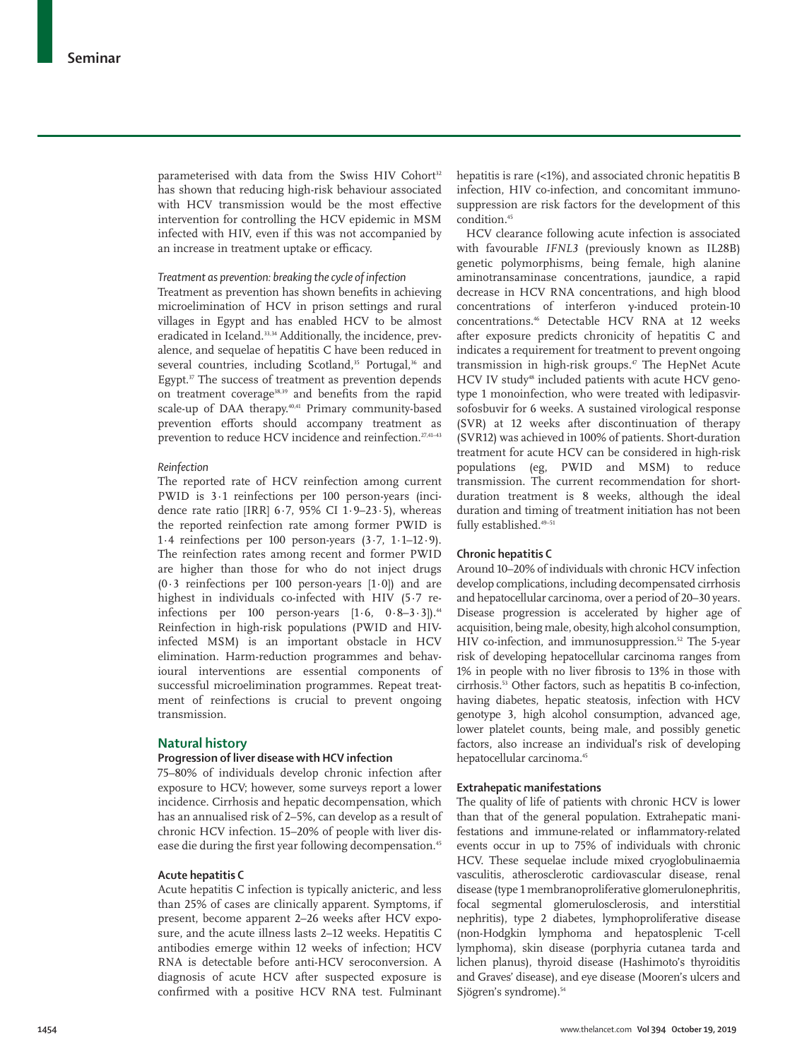parameterised with data from the Swiss HIV Cohort<sup>32</sup> has shown that reducing high-risk behaviour associated with HCV transmission would be the most effective intervention for controlling the HCV epidemic in MSM infected with HIV, even if this was not accompanied by an increase in treatment uptake or efficacy.

#### *Treatment as prevention: breaking the cycle of infection*

Treatment as prevention has shown benefits in achieving microelimination of HCV in prison settings and rural villages in Egypt and has enabled HCV to be almost eradicated in Iceland.<sup>33,34</sup> Additionally, the incidence, prevalence, and sequelae of hepatitis C have been reduced in several countries, including Scotland,<sup>35</sup> Portugal,<sup>36</sup> and Egypt.<sup>37</sup> The success of treatment as prevention depends on treatment coverage<sup>38,39</sup> and benefits from the rapid scale-up of DAA therapy.<sup>40,41</sup> Primary community-based prevention efforts should accompany treatment as prevention to reduce HCV incidence and reinfection.<sup>27,41-43</sup>

## *Reinfection*

The reported rate of HCV reinfection among current PWID is 3·1 reinfections per 100 person-years (incidence rate ratio [IRR]  $6.7$ ,  $95\%$  CI  $1.9-23.5$ ), whereas the reported reinfection rate among former PWID is 1.4 reinfections per 100 person-years  $(3.7, 1.1-12.9)$ . The reinfection rates among recent and former PWID are higher than those for who do not inject drugs  $(0.3$  reinfections per 100 person-years  $[1.0]$  and are highest in individuals co-infected with HIV (5·7 reinfections per  $100$  person-years  $[1.6, 0.8-3.3]$ .<sup>44</sup> Reinfection in high-risk populations (PWID and HIVinfected MSM) is an important obstacle in HCV elimination. Harm-reduction programmes and behavioural interventions are essential components of successful microelimination programmes. Repeat treatment of reinfections is crucial to prevent ongoing transmission.

#### **Natural history**

#### **Progression of liver disease with HCV infection**

75–80% of individuals develop chronic infection after exposure to HCV; however, some surveys report a lower incidence. Cirrhosis and hepatic decompensation, which has an annualised risk of 2–5%, can develop as a result of chronic HCV infection. 15–20% of people with liver disease die during the first year following decompensation.<sup>45</sup>

## **Acute hepatitis C**

Acute hepatitis C infection is typically anicteric, and less than 25% of cases are clinically apparent. Symptoms, if present, become apparent 2–26 weeks after HCV exposure, and the acute illness lasts 2–12 weeks. Hepatitis C antibodies emerge within 12 weeks of infection; HCV RNA is detectable before anti-HCV seroconversion. A diagnosis of acute HCV after suspected exposure is confirmed with a positive HCV RNA test. Fulminant hepatitis is rare (<1%), and associated chronic hepatitis B infection, HIV co-infection, and concomitant immunosuppression are risk factors for the development of this condition.<sup>45</sup>

HCV clearance following acute infection is associated with favourable *IFNL3* (previously known as IL28B) genetic polymorphisms, being female, high alanine aminotransaminase concentrations, jaundice, a rapid decrease in HCV RNA concentrations, and high blood concentrations of interferon γ-induced protein-10 concentrations.46 Detectable HCV RNA at 12 weeks after exposure predicts chronicity of hepatitis C and indicates a requirement for treatment to prevent ongoing transmission in high-risk groups.<sup>47</sup> The HepNet Acute HCV IV study<sup>48</sup> included patients with acute HCV genotype 1 monoinfection, who were treated with ledipasvirsofosbuvir for 6 weeks. A sustained virological response (SVR) at 12 weeks after discontinuation of therapy (SVR12) was achieved in 100% of patients. Short-duration treatment for acute HCV can be considered in high-risk populations (eg, PWID and MSM) to reduce transmission. The current recommendation for shortduration treatment is 8 weeks, although the ideal duration and timing of treatment initiation has not been fully established.<sup>49-51</sup>

## **Chronic hepatitis C**

Around 10–20% of individuals with chronic HCV infection develop complications, including decompensated cirrhosis and hepatocellular carcinoma, over a period of 20–30 years. Disease progression is accelerated by higher age of acquisition, being male, obesity, high alcohol consumption, HIV co-infection, and immunosuppression.<sup>52</sup> The 5-year risk of developing hepatocellular carcinoma ranges from 1% in people with no liver fibrosis to 13% in those with cirrhosis.53 Other factors, such as hepatitis B co-infection, having diabetes, hepatic steatosis, infection with HCV genotype 3, high alcohol consumption, advanced age, lower platelet counts, being male, and possibly genetic factors, also increase an individual's risk of developing hepatocellular carcinoma.<sup>45</sup>

## **Extrahepatic manifestations**

The quality of life of patients with chronic HCV is lower than that of the general population. Extrahepatic manifestations and immune-related or inflammatory-related events occur in up to 75% of individuals with chronic HCV. These sequelae include mixed cryoglobulinaemia vasculitis, atherosclerotic cardiovascular disease, renal disease (type 1 membranoproliferative glomerulonephritis, focal segmental glomerulosclerosis, and interstitial nephritis), type 2 diabetes, lymphoproliferative disease (non-Hodgkin lymphoma and hepatosplenic T-cell lymphoma), skin disease (porphyria cutanea tarda and lichen planus), thyroid disease (Hashimoto's thyroiditis and Graves' disease), and eye disease (Mooren's ulcers and Sjögren's syndrome).<sup>54</sup>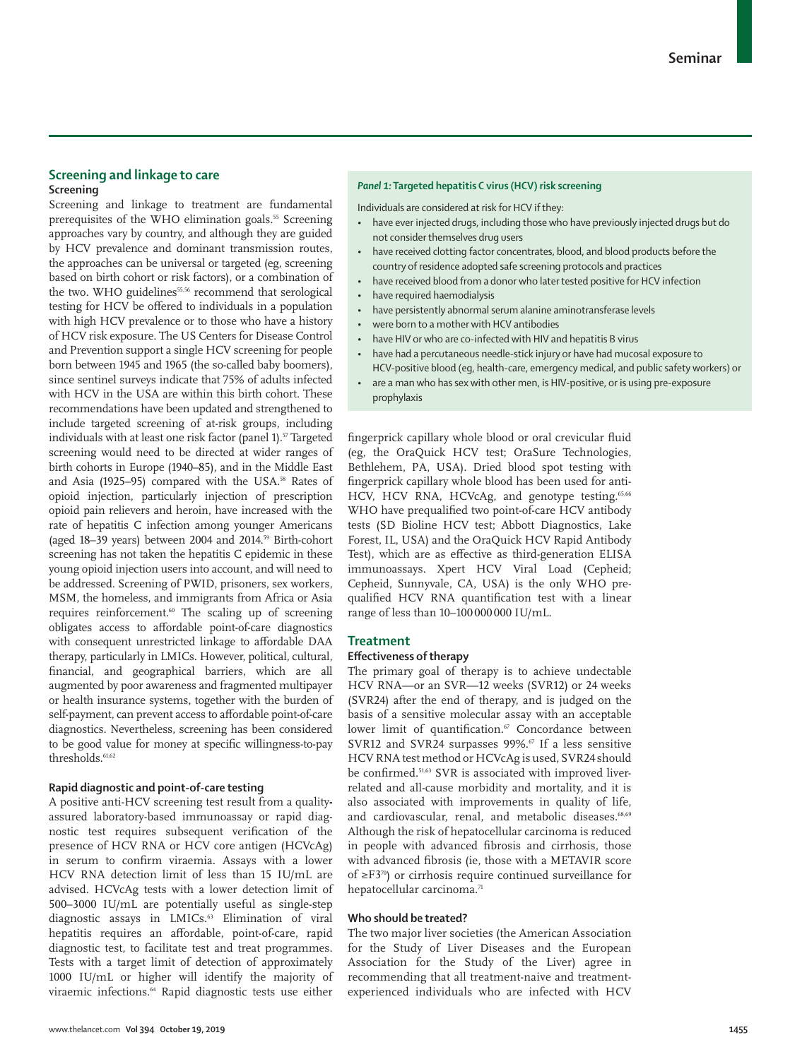# **Screening and linkage to care Screening**

Screening and linkage to treatment are fundamental prerequisites of the WHO elimination goals.<sup>55</sup> Screening approaches vary by country, and although they are guided by HCV prevalence and dominant transmission routes, the approaches can be universal or targeted (eg, screening based on birth cohort or risk factors), or a combination of the two. WHO guidelines<sup>55,56</sup> recommend that serological testing for HCV be offered to individuals in a population with high HCV prevalence or to those who have a history of HCV risk exposure. The US Centers for Disease Control and Prevention support a single HCV screening for people born between 1945 and 1965 (the so-called baby boomers), since sentinel surveys indicate that 75% of adults infected with HCV in the USA are within this birth cohort. These recommendations have been updated and strengthened to include targeted screening of at-risk groups, including individuals with at least one risk factor (panel 1).<sup>57</sup> Targeted screening would need to be directed at wider ranges of birth cohorts in Europe (1940–85), and in the Middle East and Asia (1925–95) compared with the USA.<sup>58</sup> Rates of opioid injection, particularly injection of prescription opioid pain relievers and heroin, have increased with the rate of hepatitis C infection among younger Americans (aged 18–39 years) between 2004 and 2014.<sup>59</sup> Birth-cohort screening has not taken the hepatitis C epidemic in these young opioid injection users into account, and will need to be addressed. Screening of PWID, prisoners, sex workers, MSM, the homeless, and immigrants from Africa or Asia requires reinforcement.<sup>60</sup> The scaling up of screening obligates access to affordable point-of-care diagnostics with consequent unrestricted linkage to affordable DAA therapy, particularly in LMICs. However, political, cultural, financial, and geographical barriers, which are all augmented by poor awareness and fragmented multipayer or health insurance systems, together with the burden of self-payment, can prevent access to affordable point-of-care diagnostics. Nevertheless, screening has been considered to be good value for money at specific willingness-to-pay thresholds.<sup>61,62</sup>

## **Rapid diagnostic and point-of-care testing**

A positive anti-HCV screening test result from a qualityassured laboratory-based immunoassay or rapid diagnostic test requires subsequent verification of the presence of HCV RNA or HCV core antigen (HCVcAg) in serum to confirm viraemia. Assays with a lower HCV RNA detection limit of less than 15 IU/mL are advised. HCVcAg tests with a lower detection limit of 500–3000 IU/mL are potentially useful as single-step diagnostic assays in LMICs.<sup>63</sup> Elimination of viral hepatitis requires an affordable, point-of-care, rapid diagnostic test, to facilitate test and treat programmes. Tests with a target limit of detection of approximately 1000 IU/mL or higher will identify the majority of viraemic infections.<sup>64</sup> Rapid diagnostic tests use either

## *Panel 1:* **Targeted hepatitis C virus (HCV) risk screening**

Individuals are considered at risk for HCV if they:

- have ever injected drugs, including those who have previously injected drugs but do not consider themselves drug users
- have received clotting factor concentrates, blood, and blood products before the country of residence adopted safe screening protocols and practices
- have received blood from a donor who later tested positive for HCV infection
- have required haemodialysis
- have persistently abnormal serum alanine aminotransferase levels
- were born to a mother with HCV antibodies
	- have HIV or who are co-infected with HIV and hepatitis B virus
- have had a percutaneous needle-stick injury or have had mucosal exposure to HCV-positive blood (eg, health-care, emergency medical, and public safety workers) or
- are a man who has sex with other men, is HIV-positive, or is using pre-exposure prophylaxis

fingerprick capillary whole blood or oral crevicular fluid (eg, the OraQuick HCV test; OraSure Technologies, Bethlehem, PA, USA). Dried blood spot testing with fingerprick capillary whole blood has been used for anti-HCV, HCV RNA, HCVcAg, and genotype testing.<sup>65,66</sup> WHO have prequalified two point-of-care HCV antibody tests (SD Bioline HCV test; Abbott Diagnostics, Lake Forest, IL, USA) and the OraQuick HCV Rapid Antibody Test), which are as effective as third-generation ELISA immunoassays. Xpert HCV Viral Load (Cepheid; Cepheid, Sunnyvale, CA, USA) is the only WHO prequalified HCV RNA quantification test with a linear range of less than 10–100000000 IU/mL.

## **Treatment**

#### **Effectiveness of therapy**

The primary goal of therapy is to achieve undectable HCV RNA—or an SVR—12 weeks (SVR12) or 24 weeks (SVR24) after the end of therapy, and is judged on the basis of a sensitive molecular assay with an acceptable lower limit of quantification.<sup>67</sup> Concordance between SVR12 and SVR24 surpasses 99%. $\degree$  If a less sensitive HCV RNA test method or HCVcAg is used, SVR24 should be confirmed.51,63 SVR is associated with improved liverrelated and all-cause morbidity and mortality, and it is also associated with improvements in quality of life, and cardiovascular, renal, and metabolic diseases.<sup>68,69</sup> Although the risk of hepatocellular carcinoma is reduced in people with advanced fibrosis and cirrhosis, those with advanced fibrosis (ie, those with a METAVIR score of ≥F370) or cirrhosis require continued surveillance for hepatocellular carcinoma.<sup>71</sup>

#### **Who should be treated?**

The two major liver societies (the American Association for the Study of Liver Diseases and the European Association for the Study of the Liver) agree in recommending that all treatment-naive and treatmentexperienced individuals who are infected with HCV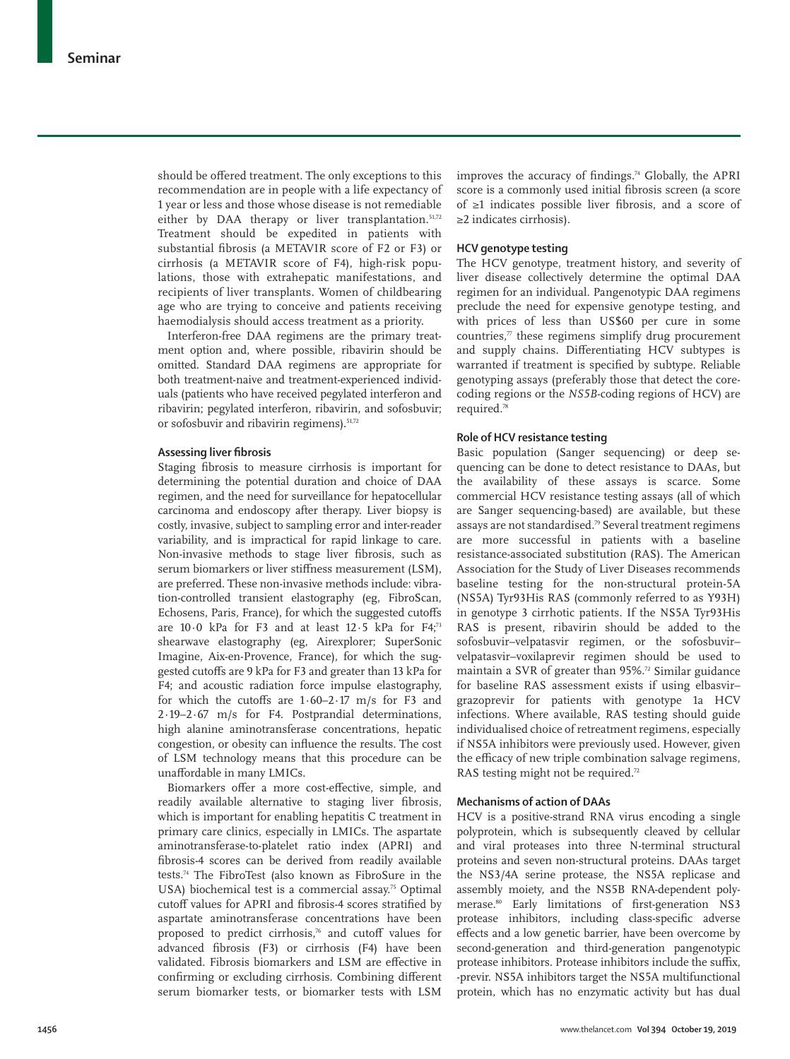should be offered treatment. The only exceptions to this recommendation are in people with a life expectancy of 1 year or less and those whose disease is not remediable either by DAA therapy or liver transplantation.<sup>51,72</sup> Treatment should be expedited in patients with substantial fibrosis (a METAVIR score of F2 or F3) or cirrhosis (a METAVIR score of F4), high-risk populations, those with extrahepatic manifestations, and recipients of liver transplants. Women of childbearing age who are trying to conceive and patients receiving haemodialysis should access treatment as a priority.

Interferon-free DAA regimens are the primary treatment option and, where possible, ribavirin should be omitted. Standard DAA regimens are appropriate for both treatment-naive and treatment-experienced individuals (patients who have received pegylated interferon and ribavirin; pegylated interferon, ribavirin, and sofosbuvir; or sofosbuvir and ribavirin regimens).<sup>51,72</sup>

## **Assessing liver fibrosis**

Staging fibrosis to measure cirrhosis is important for determining the potential duration and choice of DAA regimen, and the need for surveillance for hepatocellular carcinoma and endoscopy after therapy. Liver biopsy is costly, invasive, subject to sampling error and inter-reader variability, and is impractical for rapid linkage to care. Non-invasive methods to stage liver fibrosis, such as serum biomarkers or liver stiffness measurement (LSM), are preferred. These non-invasive methods include: vibration-controlled transient elastography (eg, FibroScan, Echosens, Paris, France), for which the suggested cutoffs are  $10.0$  kPa for F3 and at least  $12.5$  kPa for F4;<sup>73</sup> shearwave elastography (eg, Airexplorer; SuperSonic Imagine, Aix-en-Provence, France), for which the suggested cutoffs are 9 kPa for F3 and greater than 13 kPa for F4; and acoustic radiation force impulse elastography, for which the cutoffs are  $1.60-2.17$  m/s for F3 and 2·19–2·67 m/s for F4. Postprandial determinations, high alanine aminotransferase concentrations, hepatic congestion, or obesity can influence the results. The cost of LSM technology means that this procedure can be unaffordable in many LMICs.

Biomarkers offer a more cost-effective, simple, and readily available alternative to staging liver fibrosis, which is important for enabling hepatitis C treatment in primary care clinics, especially in LMICs. The aspartate aminotransferase-to-platelet ratio index (APRI) and fibrosis-4 scores can be derived from readily available tests.74 The FibroTest (also known as FibroSure in the USA) biochemical test is a commercial assay.<sup>75</sup> Optimal cutoff values for APRI and fibrosis-4 scores stratified by aspartate aminotransferase concentrations have been proposed to predict cirrhosis,<sup>76</sup> and cutoff values for advanced fibrosis (F3) or cirrhosis (F4) have been validated. Fibrosis biomarkers and LSM are effective in confirming or excluding cirrhosis. Combining different serum biomarker tests, or biomarker tests with LSM improves the accuracy of findings.<sup>74</sup> Globally, the APRI score is a commonly used initial fibrosis screen (a score of ≥1 indicates possible liver fibrosis, and a score of ≥2 indicates cirrhosis).

## **HCV genotype testing**

The HCV genotype, treatment history, and severity of liver disease collectively determine the optimal DAA regimen for an individual. Pangenotypic DAA regimens preclude the need for expensive genotype testing, and with prices of less than US\$60 per cure in some countries, $\pi$  these regimens simplify drug procurement and supply chains. Differentiating HCV subtypes is warranted if treatment is specified by subtype. Reliable genotyping assays (preferably those that detect the corecoding regions or the *NS5B*-coding regions of HCV) are required.78

#### **Role of HCV resistance testing**

Basic population (Sanger sequencing) or deep sequencing can be done to detect resistance to DAAs**,** but the availability of these assays is scarce. Some commercial HCV resistance testing assays (all of which are Sanger sequencing-based) are available, but these assays are not standardised.<sup>79</sup> Several treatment regimens are more successful in patients with a baseline resistance-associated substitution (RAS). The American Association for the Study of Liver Diseases recommends baseline testing for the non-structural protein-5A (NS5A) Tyr93His RAS (commonly referred to as Y93H) in genotype 3 cirrhotic patients. If the NS5A Tyr93His RAS is present, ribavirin should be added to the sofosbuvir–velpatasvir regimen, or the sofosbuvir– velpatasvir–voxilaprevir regimen should be used to maintain a SVR of greater than 95%.<sup>72</sup> Similar guidance for baseline RAS assessment exists if using elbasvir– grazoprevir for patients with genotype 1a HCV infections. Where available, RAS testing should guide individualised choice of retreatment regimens, especially if NS5A inhibitors were previously used. However, given the efficacy of new triple combination salvage regimens, RAS testing might not be required.<sup>72</sup>

## **Mechanisms of action of DAAs**

HCV is a positive-strand RNA virus encoding a single polyprotein, which is subsequently cleaved by cellular and viral proteases into three N-terminal structural proteins and seven non-structural proteins. DAAs target the NS3/4A serine protease, the NS5A replicase and assembly moiety, and the NS5B RNA-dependent polymerase.<sup>80</sup> Early limitations of first-generation NS3 protease inhibitors, including class-specific adverse effects and a low genetic barrier, have been overcome by second-generation and third-generation pangenotypic protease inhibitors. Protease inhibitors include the suffix, -previr. NS5A inhibitors target the NS5A multifunctional protein, which has no enzymatic activity but has dual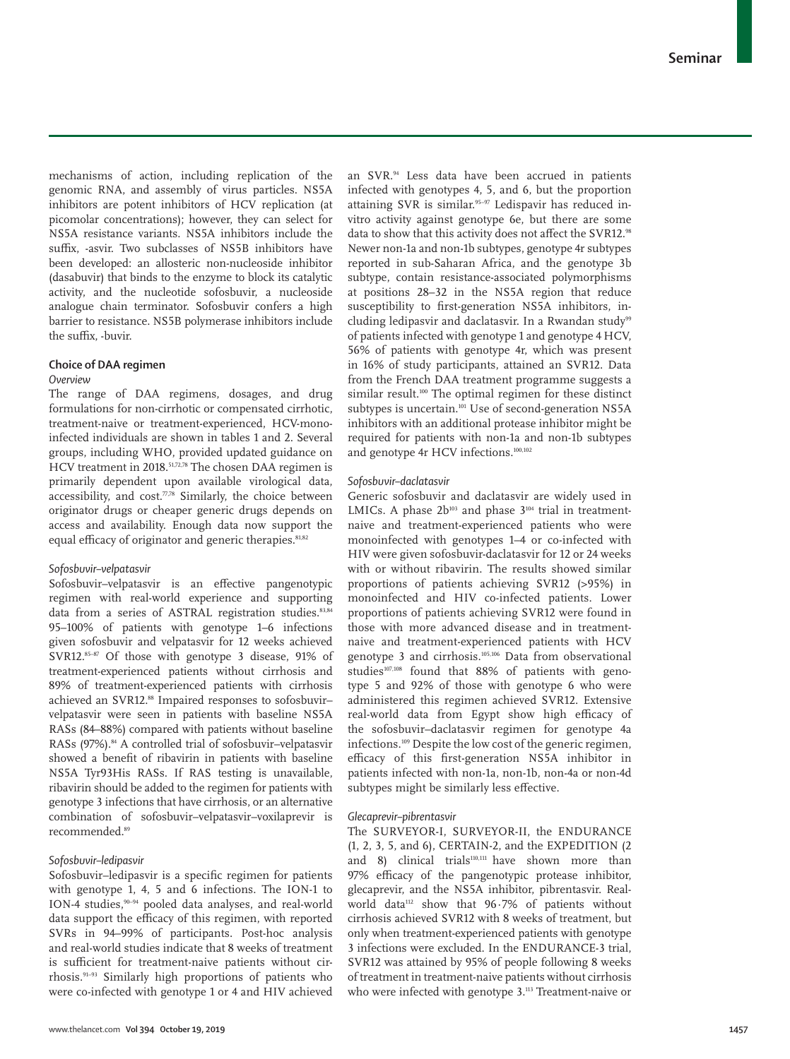mechanisms of action, including replication of the genomic RNA, and assembly of virus particles. NS5A inhibitors are potent inhibitors of HCV replication (at picomolar concentrations); however, they can select for NS5A resistance variants. NS5A inhibitors include the suffix, -asvir. Two subclasses of NS5B inhibitors have been developed: an allosteric non-nucleoside inhibitor (dasabuvir) that binds to the enzyme to block its catalytic activity, and the nucleotide sofosbuvir, a nucleoside analogue chain terminator. Sofosbuvir confers a high barrier to resistance. NS5B polymerase inhibitors include the suffix, -buvir.

## **Choice of DAA regimen**

#### *Overview*

The range of DAA regimens, dosages, and drug formulations for non-cirrhotic or compensated cirrhotic, treatment-naive or treatment-experienced, HCV-monoinfected individuals are shown in tables 1 and 2. Several groups, including WHO, provided updated guidance on HCV treatment in 2018.<sup>51,72,78</sup> The chosen DAA regimen is primarily dependent upon available virological data, accessibility, and  $cost.\n$ 7,78} Similarly, the choice between originator drugs or cheaper generic drugs depends on access and availability. Enough data now support the equal efficacy of originator and generic therapies.<sup>81,82</sup>

## *Sofosbuvir–velpatasvir*

Sofosbuvir–velpatasvir is an effective pangenotypic regimen with real-world experience and supporting data from a series of ASTRAL registration studies.<sup>83,84</sup> 95–100% of patients with genotype 1–6 infections given sofosbuvir and velpatasvir for 12 weeks achieved SVR12.85-87 Of those with genotype 3 disease, 91% of treatment-experienced patients without cirrhosis and 89% of treatment-experienced patients with cirrhosis achieved an SVR12.88 Impaired responses to sofosbuvirvelpatasvir were seen in patients with baseline NS5A RASs (84–88%) compared with patients without baseline RASs (97%).<sup>84</sup> A controlled trial of sofosbuvir-velpatasvir showed a benefit of ribavirin in patients with baseline NS5A Tyr93His RASs. If RAS testing is unavailable, ribavirin should be added to the regimen for patients with genotype 3 infections that have cirrhosis, or an alternative combination of sofosbuvir–velpatasvir–voxilaprevir is recommended.89

## *Sofosbuvir–ledipasvir*

Sofosbuvir–ledipasvir is a specific regimen for patients with genotype 1, 4, 5 and 6 infections. The ION-1 to ION-4 studies,90–94 pooled data analyses, and real-world data support the efficacy of this regimen, with reported SVRs in 94–99% of participants. Post-hoc analysis and real-world studies indicate that 8 weeks of treatment is sufficient for treatment-naive patients without cirrhosis.91–93 Similarly high proportions of patients who were co-infected with genotype 1 or 4 and HIV achieved an SVR.94 Less data have been accrued in patients infected with genotypes 4, 5, and 6, but the proportion attaining SVR is similar.<sup>95-97</sup> Ledispavir has reduced invitro activity against genotype 6e, but there are some data to show that this activity does not affect the SVR12.<sup>98</sup> Newer non-1a and non-1b subtypes, genotype 4r subtypes reported in sub-Saharan Africa, and the genotype 3b subtype, contain resistance-associated polymorphisms at positions 28–32 in the NS5A region that reduce susceptibility to first-generation NS5A inhibitors, including ledipasvir and daclatasvir. In a Rwandan study<sup>99</sup> of patients infected with genotype 1 and genotype 4 HCV, 56% of patients with genotype 4r, which was present in 16% of study participants, attained an SVR12. Data from the French DAA treatment programme suggests a similar result.<sup>100</sup> The optimal regimen for these distinct subtypes is uncertain.<sup>101</sup> Use of second-generation NS5A inhibitors with an additional protease inhibitor might be required for patients with non-1a and non-1b subtypes and genotype 4r HCV infections.100,102

#### *Sofosbuvir–daclatasvir*

Generic sofosbuvir and daclatasvir are widely used in LMICs. A phase  $2b^{103}$  and phase  $3^{104}$  trial in treatmentnaive and treatment-experienced patients who were monoinfected with genotypes 1–4 or co-infected with HIV were given sofosbuvir-daclatasvir for 12 or 24 weeks with or without ribavirin. The results showed similar proportions of patients achieving SVR12 (>95%) in monoinfected and HIV co-infected patients. Lower proportions of patients achieving SVR12 were found in those with more advanced disease and in treatmentnaive and treatment-experienced patients with HCV genotype 3 and cirrhosis.105,106 Data from observational studies<sup>107,108</sup> found that 88% of patients with genotype 5 and 92% of those with genotype 6 who were administered this regimen achieved SVR12. Extensive real-world data from Egypt show high efficacy of the sofosbuvir–daclatasvir regimen for genotype 4a infections.109 Despite the low cost of the generic regimen, efficacy of this first-generation NS5A inhibitor in patients infected with non-1a, non-1b, non-4a or non-4d subtypes might be similarly less effective.

## *Glecaprevir–pibrentasvir*

The SURVEYOR-I, SURVEYOR-II, the ENDURANCE (1, 2, 3, 5, and 6), CERTAIN-2, and the EXPEDITION (2 and 8) clinical trial $s<sup>110,111</sup>$  have shown more than 97% efficacy of the pangenotypic protease inhibitor, glecaprevir, and the NS5A inhibitor, pibrentasvir. Realworld data<sup>112</sup> show that 96.7% of patients without cirrhosis achieved SVR12 with 8 weeks of treatment, but only when treatment-experienced patients with genotype 3 infections were excluded. In the ENDURANCE-3 trial, SVR12 was attained by 95% of people following 8 weeks of treatment in treatment-naive patients without cirrhosis who were infected with genotype 3.<sup>113</sup> Treatment-naive or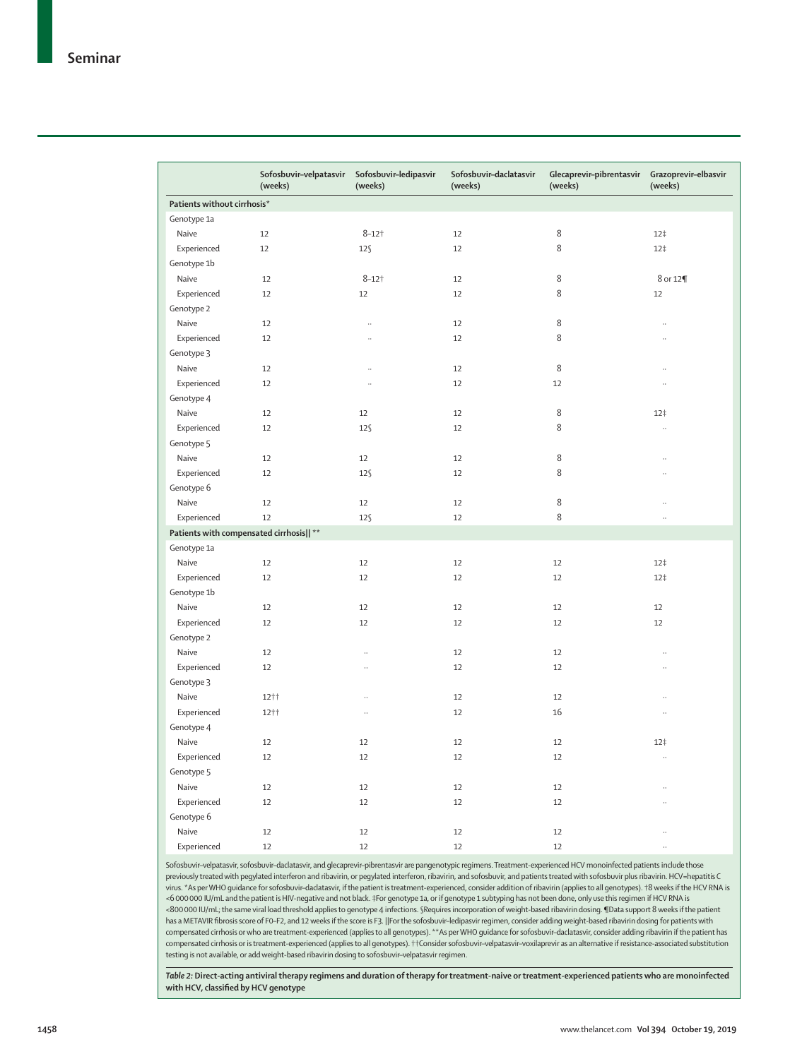|                                          | Sofosbuvir-velpatasvir<br>(weeks) | Sofosbuvir-ledipasvir<br>(weeks) | Sofosbuvir-daclatasvir<br>(weeks) | Glecaprevir-pibrentasvir<br>(weeks) | Grazoprevir-elbasvir<br>(weeks) |  |  |
|------------------------------------------|-----------------------------------|----------------------------------|-----------------------------------|-------------------------------------|---------------------------------|--|--|
| Patients without cirrhosis*              |                                   |                                  |                                   |                                     |                                 |  |  |
| Genotype 1a                              |                                   |                                  |                                   |                                     |                                 |  |  |
| Naive                                    | 12                                | $8 - 12$ †                       | 12                                | 8                                   | 12 <sup>†</sup>                 |  |  |
| Experienced                              | 12                                | $12\$                            | 12                                | 8                                   | 12 <sup>†</sup>                 |  |  |
| Genotype 1b                              |                                   |                                  |                                   |                                     |                                 |  |  |
| Naive                                    | 12                                | $8 - 12$ †                       | 12                                | 8                                   | 8 or 12¶                        |  |  |
| Experienced                              | 12                                | 12                               | 12                                | 8                                   | 12                              |  |  |
| Genotype 2                               |                                   |                                  |                                   |                                     |                                 |  |  |
| Naive                                    | 12                                | $\ddot{\phantom{a}}$             | 12                                | 8                                   | $\ddot{\phantom{0}}$            |  |  |
| Experienced                              | 12                                | $\ddot{\phantom{a}}$             | 12                                | 8                                   |                                 |  |  |
| Genotype 3                               |                                   |                                  |                                   |                                     |                                 |  |  |
| Naive                                    | 12                                | $\ddot{\phantom{0}}$             | 12                                | 8                                   |                                 |  |  |
| Experienced                              | 12                                | $\ddot{\phantom{0}}$             | 12                                | 12                                  |                                 |  |  |
| Genotype 4                               |                                   |                                  |                                   |                                     |                                 |  |  |
| Naive                                    | 12                                | 12                               | 12                                | 8                                   | 12 <sup>†</sup>                 |  |  |
| Experienced                              | 12                                | $12\$                            | 12                                | 8                                   | ä,                              |  |  |
| Genotype 5                               |                                   |                                  |                                   |                                     |                                 |  |  |
| Naive                                    | 12                                | 12                               | 12                                | 8                                   |                                 |  |  |
| Experienced                              | 12                                | $12\$                            | 12                                | $\,8\,$                             |                                 |  |  |
| Genotype 6                               |                                   |                                  |                                   |                                     |                                 |  |  |
| Naive                                    | 12                                | 12                               | 12                                | 8                                   |                                 |  |  |
| Experienced                              | 12                                | $12\$                            | 12                                | 8                                   |                                 |  |  |
| Patients with compensated cirrhosis   ** |                                   |                                  |                                   |                                     |                                 |  |  |
| Genotype 1a                              |                                   |                                  |                                   |                                     |                                 |  |  |
| Naive                                    | 12                                | 12                               | 12                                | 12                                  | 12 <sup>†</sup>                 |  |  |
| Experienced                              | 12                                | 12                               | 12                                | 12                                  | 12 <sup>†</sup>                 |  |  |
| Genotype 1b                              |                                   |                                  |                                   |                                     |                                 |  |  |
| Naive                                    | 12                                | 12                               | 12                                | 12                                  | 12                              |  |  |
| Experienced                              | 12                                | 12                               | 12                                | 12                                  | 12                              |  |  |
| Genotype 2                               |                                   |                                  |                                   |                                     |                                 |  |  |
| Naive                                    | 12                                | ä,                               | 12                                | 12                                  |                                 |  |  |
| Experienced                              | 12                                | $\ddots$                         | 12                                | 12                                  |                                 |  |  |
| Genotype 3                               |                                   |                                  |                                   |                                     |                                 |  |  |
| Naive                                    | 12++                              | $\ddotsc$                        | 12                                | 12                                  | $\ddot{\phantom{0}}$            |  |  |
| Experienced                              | 12++                              | ä,                               | 12                                | 16                                  |                                 |  |  |
| Genotype 4                               |                                   |                                  |                                   |                                     |                                 |  |  |
| Naive                                    | 12                                | 12                               | 12                                | 12                                  | 12 <sup>†</sup>                 |  |  |
| Experienced                              | 12                                | 12                               | 12                                | 12                                  | $\ldots$                        |  |  |
| Genotype 5                               |                                   |                                  |                                   |                                     |                                 |  |  |
| Naive                                    | 12                                | 12                               | 12                                | 12                                  |                                 |  |  |
| Experienced                              | 12                                | 12                               | 12                                | 12                                  |                                 |  |  |
| Genotype 6                               |                                   |                                  |                                   |                                     |                                 |  |  |
| Naive                                    | 12                                | 12                               | 12                                | 12                                  | $\ldots$                        |  |  |
| Experienced                              | 12                                | 12                               | 12                                | 12                                  | $\ldots$                        |  |  |

Sofosbuvir-velpatasvir, sofosbuvir-daclatasvir, and glecaprevir-pibrentasvir are pangenotypic regimens. Treatment-experienced HCV monoinfected patients include those previously treated with pegylated interferon and ribavirin, or pegylated interferon, ribavirin, and sofosbuvir, and patients treated with sofosbuvir plus ribavirin. HCV=hepatitis C virus. \*As per WHO guidance for sofosbuvir–daclatasvir, if the patient is treatment-experienced, consider addition of ribavirin (applies to all genotypes). †8 weeks if the HCV RNA is <6000000 IU/mL and the patient is HIV-negative and not black. ‡For genotype 1a, or if genotype 1 subtyping has not been done, only use this regimen if HCV RNA is <800000 IU/mL; the same viral load threshold applies to genotype 4 infections. §Requires incorporation of weight-based ribavirin dosing. ¶Data support 8 weeks if the patient has a METAVIR fibrosis score of F0–F2, and 12 weeks if the score is F3. ||For the sofosbuvir–ledipasvir regimen, consider adding weight-based ribavirin dosing for patients with compensated cirrhosis or who are treatment-experienced (applies to all genotypes). \*\*As per WHO guidance for sofosbuvir–daclatasvir, consider adding ribavirin if the patient has compensated cirrhosis or is treatment-experienced (applies to all genotypes). ††Consider sofosbuvir–velpatasvir–voxilaprevir as an alternative if resistance-associated substitution testing is not available, or add weight-based ribavirin dosing to sofosbuvir–velpatasvir regimen.

*Table 2:* **Direct-acting antiviral therapy regimens and duration of therapy for treatment-naive or treatment-experienced patients who are monoinfected with HCV, classified by HCV genotype**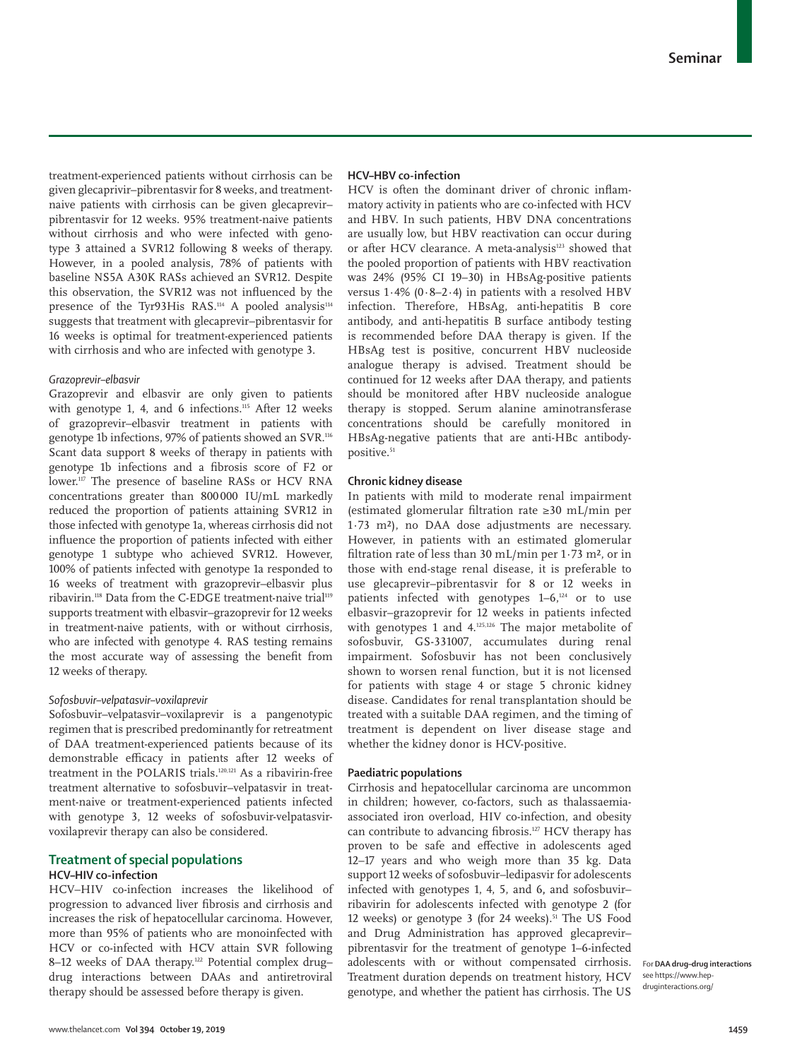treatment-experienced patients without cirrhosis can be given glecaprivir–pibrentasvir for 8 weeks, and treatmentnaive patients with cirrhosis can be given glecaprevir– pibrentasvir for 12 weeks. 95% treatment-naive patients without cirrhosis and who were infected with genotype 3 attained a SVR12 following 8 weeks of therapy. However, in a pooled analysis, 78% of patients with baseline NS5A A30K RASs achieved an SVR12. Despite this observation, the SVR12 was not influenced by the presence of the Tyr93His RAS.<sup>114</sup> A pooled analysis<sup>114</sup> suggests that treatment with glecaprevir–pibrentasvir for 16 weeks is optimal for treatment-experienced patients with cirrhosis and who are infected with genotype 3.

## *Grazoprevir–elbasvir*

Grazoprevir and elbasvir are only given to patients with genotype 1, 4, and 6 infections.<sup>115</sup> After 12 weeks of grazoprevir–elbasvir treatment in patients with genotype 1b infections, 97% of patients showed an SVR.116 Scant data support 8 weeks of therapy in patients with genotype 1b infections and a fibrosis score of F2 or lower.117 The presence of baseline RASs or HCV RNA concentrations greater than 800000 IU/mL markedly reduced the proportion of patients attaining SVR12 in those infected with genotype 1a, whereas cirrhosis did not influence the proportion of patients infected with either genotype 1 subtype who achieved SVR12. However, 100% of patients infected with genotype 1a responded to 16 weeks of treatment with grazoprevir–elbasvir plus ribavirin.118 Data from the C-EDGE treatment-naive trial119 supports treatment with elbasvir–grazoprevir for 12 weeks in treatment-naive patients, with or without cirrhosis, who are infected with genotype 4. RAS testing remains the most accurate way of assessing the benefit from 12 weeks of therapy.

## *Sofosbuvir–velpatasvir–voxilaprevir*

Sofosbuvir–velpatasvir–voxilaprevir is a pangenotypic regimen that is prescribed predominantly for retreatment of DAA treatment-experienced patients because of its demonstrable efficacy in patients after 12 weeks of treatment in the POLARIS trials.120,121 As a ribavirin-free treatment alternative to sofosbuvir–velpatasvir in treatment-naive or treatment-experienced patients infected with genotype 3, 12 weeks of sofosbuvir-velpatasvirvoxilaprevir therapy can also be considered.

## **Treatment of special populations HCV–HIV co-infection**

HCV–HIV co-infection increases the likelihood of progression to advanced liver fibrosis and cirrhosis and increases the risk of hepatocellular carcinoma. However, more than 95% of patients who are monoinfected with HCV or co-infected with HCV attain SVR following 8–12 weeks of DAA therapy.<sup>122</sup> Potential complex [drug–](https://www.hep-druginteractions.org/) [drug interactions](https://www.hep-druginteractions.org/) between DAAs and antiretroviral therapy should be assessed before therapy is given.

## **HCV–HBV co-infection**

HCV is often the dominant driver of chronic inflammatory activity in patients who are co-infected with HCV and HBV. In such patients, HBV DNA concentrations are usually low, but HBV reactivation can occur during or after HCV clearance. A meta-analysis<sup>123</sup> showed that the pooled proportion of patients with HBV reactivation was 24% (95% CI 19–30) in HBsAg-positive patients versus 1·4% (0·8–2·4) in patients with a resolved HBV infection. Therefore, HBsAg, anti-hepatitis B core antibody, and anti-hepatitis B surface antibody testing is recommended before DAA therapy is given. If the HBsAg test is positive, concurrent HBV nucleoside analogue therapy is advised. Treatment should be continued for 12 weeks after DAA therapy, and patients should be monitored after HBV nucleoside analogue therapy is stopped. Serum alanine aminotransferase concentrations should be carefully monitored in HBsAg-negative patients that are anti-HBc antibodypositive.<sup>51</sup>

#### **Chronic kidney disease**

In patients with mild to moderate renal impairment (estimated glomerular filtration rate ≥30 mL/min per 1·73 m²), no DAA dose adjustments are necessary. However, in patients with an estimated glomerular filtration rate of less than 30 mL/min per 1·73 m², or in those with end-stage renal disease, it is preferable to use glecaprevir–pibrentasvir for 8 or 12 weeks in patients infected with genotypes 1-6,<sup>124</sup> or to use elbasvir–grazoprevir for 12 weeks in patients infected with genotypes 1 and 4.<sup>125,126</sup> The major metabolite of sofosbuvir, GS-331007, accumulates during renal impairment. Sofosbuvir has not been conclusively shown to worsen renal function, but it is not licensed for patients with stage 4 or stage 5 chronic kidney disease. Candidates for renal transplantation should be treated with a suitable DAA regimen, and the timing of treatment is dependent on liver disease stage and whether the kidney donor is HCV-positive.

## **Paediatric populations**

Cirrhosis and hepatocellular carcinoma are uncommon in children; however, co-factors, such as thalassaemiaassociated iron overload, HIV co-infection, and obesity can contribute to advancing fibrosis.<sup>127</sup> HCV therapy has proven to be safe and effective in adolescents aged 12–17 years and who weigh more than 35 kg. Data support 12 weeks of sofosbuvir–ledipasvir for adolescents infected with genotypes 1, 4, 5, and 6**,** and sofosbuvir– ribavirin for adolescents infected with genotype 2 (for 12 weeks) or genotype 3 (for 24 weeks).<sup>51</sup> The US Food and Drug Administration has approved glecaprevir– pibrentasvir for the treatment of genotype 1–6-infected adolescents with or without compensated cirrhosis. Treatment duration depends on treatment history, HCV genotype, and whether the patient has cirrhosis. The US

For **DAA drug–drug interactions** see [https://www.hep](https://www.hep-druginteractions.org/)[druginteractions.org/](https://www.hep-druginteractions.org/)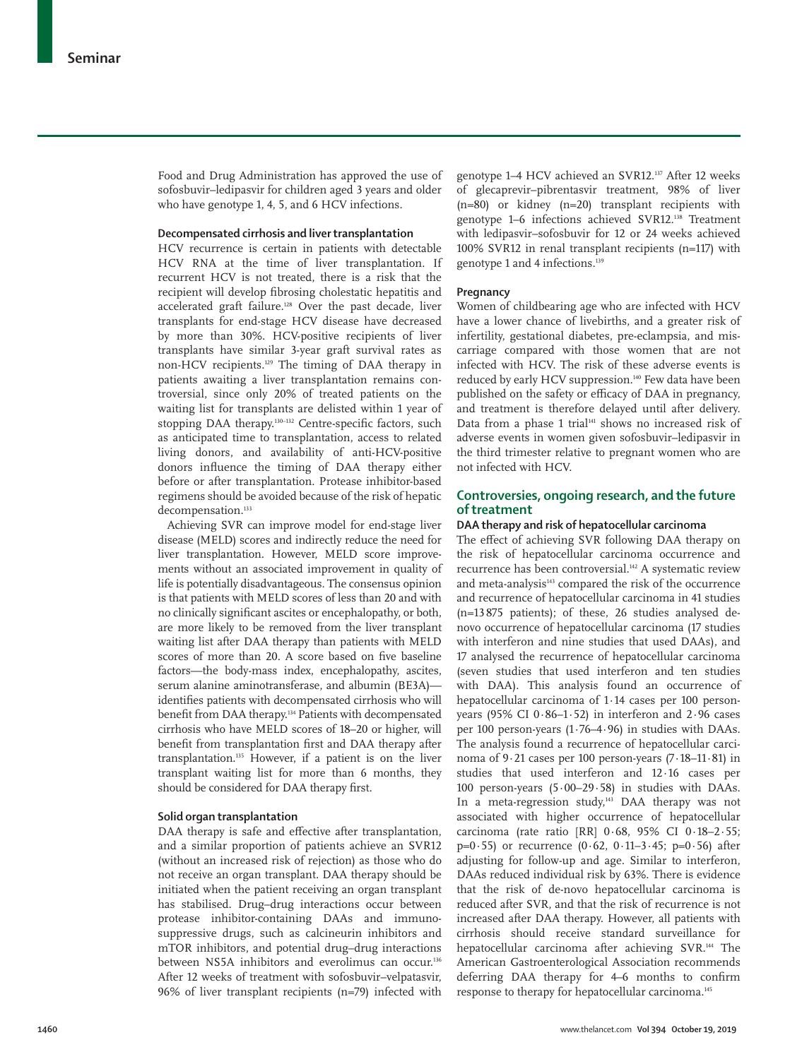Food and Drug Administration has approved the use of sofosbuvir–ledipasvir for children aged 3 years and older who have genotype 1, 4, 5, and 6 HCV infections.

#### **Decompensated cirrhosis and liver transplantation**

HCV recurrence is certain in patients with detectable HCV RNA at the time of liver transplantation. If recurrent HCV is not treated, there is a risk that the recipient will develop fibrosing cholestatic hepatitis and accelerated graft failure.<sup>128</sup> Over the past decade, liver transplants for end-stage HCV disease have decreased by more than 30%. HCV-positive recipients of liver transplants have similar 3-year graft survival rates as non-HCV recipients.129 The timing of DAA therapy in patients awaiting a liver transplantation remains controversial, since only 20% of treated patients on the waiting list for transplants are delisted within 1 year of stopping DAA therapy.<sup>130–132</sup> Centre-specific factors, such as anticipated time to transplantation, access to related living donors, and availability of anti-HCV-positive donors influence the timing of DAA therapy either before or after transplantation. Protease inhibitor-based regimens should be avoided because of the risk of hepatic decompensation.<sup>133</sup>

Achieving SVR can improve model for end-stage liver disease (MELD) scores and indirectly reduce the need for liver transplantation. However, MELD score improvements without an associated improvement in quality of life is potentially disadvantageous. The consensus opinion is that patients with MELD scores of less than 20 and with no clinically significant ascites or encephalopathy, or both, are more likely to be removed from the liver transplant waiting list after DAA therapy than patients with MELD scores of more than 20. A score based on five baseline factors—the body-mass index, encephalopathy, ascites, serum alanine aminotransferase, and albumin (BE3A) identifies patients with decompensated cirrhosis who will benefit from DAA therapy.<sup>134</sup> Patients with decompensated cirrhosis who have MELD scores of 18–20 or higher, will benefit from transplantation first and DAA therapy after transplantation.135 However, if a patient is on the liver transplant waiting list for more than 6 months, they should be considered for DAA therapy first.

# **Solid organ transplantation**

DAA therapy is safe and effective after transplantation, and a similar proportion of patients achieve an SVR12 (without an increased risk of rejection) as those who do not receive an organ transplant. DAA therapy should be initiated when the patient receiving an organ transplant has stabilised. Drug–drug interactions occur between protease inhibitor-containing DAAs and immunosuppressive drugs, such as calcineurin inhibitors and mTOR inhibitors, and potential drug–drug interactions between NS5A inhibitors and everolimus can occur.<sup>136</sup> After 12 weeks of treatment with sofosbuvir–velpatasvir, 96% of liver transplant recipients (n=79) infected with genotype 1–4 HCV achieved an SVR12.137 After 12 weeks of glecaprevir–pibrentasvir treatment, 98% of liver (n=80) or kidney (n=20) transplant recipients with genotype 1–6 infections achieved SVR12.138 Treatment with ledipasvir–sofosbuvir for 12 or 24 weeks achieved 100% SVR12 in renal transplant recipients (n=117) with genotype 1 and 4 infections.139

#### **Pregnancy**

Women of childbearing age who are infected with HCV have a lower chance of livebirths, and a greater risk of infertility, gestational diabetes, pre-eclampsia, and miscarriage compared with those women that are not infected with HCV. The risk of these adverse events is reduced by early HCV suppression.140 Few data have been published on the safety or efficacy of DAA in pregnancy, and treatment is therefore delayed until after delivery. Data from a phase 1 trial $141$  shows no increased risk of adverse events in women given sofosbuvir–ledipasvir in the third trimester relative to pregnant women who are not infected with HCV.

# **Controversies, ongoing research, and the future of treatment**

#### **DAA therapy and risk of hepatocellular carcinoma**

The effect of achieving SVR following DAA therapy on the risk of hepatocellular carcinoma occurrence and recurrence has been controversial.<sup>142</sup> A systematic review and meta-analysis<sup>143</sup> compared the risk of the occurrence and recurrence of hepatocellular carcinoma in 41 studies (n=13875 patients); of these, 26 studies analysed denovo occurrence of hepatocellular carcinoma (17 studies with interferon and nine studies that used DAAs), and 17 analysed the recurrence of hepatocellular carcinoma (seven studies that used interferon and ten studies with DAA). This analysis found an occurrence of hepatocellular carcinoma of 1·14 cases per 100 personyears (95% CI 0·86–1·52) in interferon and 2·96 cases per 100 person-years (1·76–4·96) in studies with DAAs. The analysis found a recurrence of hepatocellular carcinoma of 9·21 cases per 100 person-years (7·18–11·81) in studies that used interferon and 12·16 cases per 100 person-years (5·00–29·58) in studies with DAAs. In a meta-regression study, $443$  DAA therapy was not associated with higher occurrence of hepatocellular carcinoma (rate ratio [RR] 0·68, 95% CI 0·18–2·55;  $p=0.55$ ) or recurrence  $(0.62, 0.11-3.45; p=0.56)$  after adjusting for follow-up and age. Similar to interferon, DAAs reduced individual risk by 63%. There is evidence that the risk of de-novo hepatocellular carcinoma is reduced after SVR, and that the risk of recurrence is not increased after DAA therapy. However, all patients with cirrhosis should receive standard surveillance for hepatocellular carcinoma after achieving SVR.144 The American Gastroenterological Association recommends deferring DAA therapy for 4–6 months to confirm response to therapy for hepatocellular carcinoma.145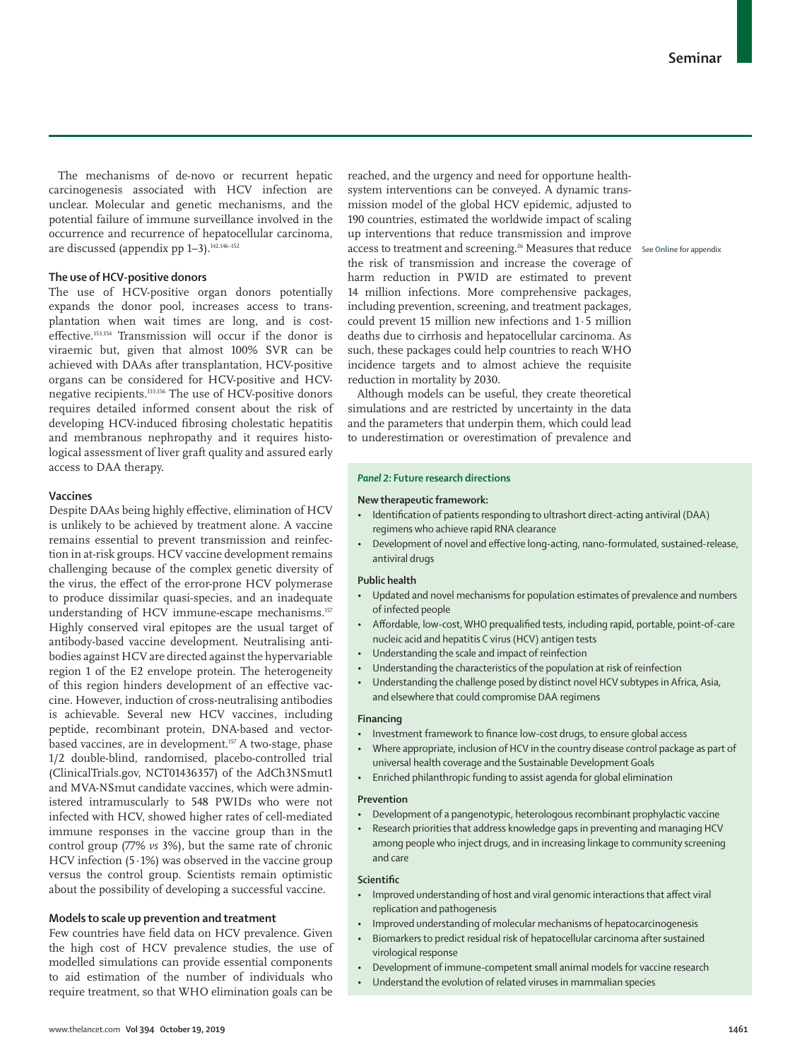The mechanisms of de-novo or recurrent hepatic carcinogenesis associated with HCV infection are unclear. Molecular and genetic mechanisms, and the potential failure of immune surveillance involved in the occurrence and recurrence of hepatocellular carcinoma, are discussed (appendix pp  $1-3$ ).<sup>142,146-152</sup>

## **The use of HCV-positive donors**

The use of HCV-positive organ donors potentially expands the donor pool, increases access to transplantation when wait times are long, and is costeffective.153,154 Transmission will occur if the donor is viraemic but, given that almost 100% SVR can be achieved with DAAs after transplantation, HCV-positive organs can be considered for HCV-positive and HCVnegative recipients.155,156 The use of HCV-positive donors requires detailed informed consent about the risk of developing HCV-induced fibrosing cholestatic hepatitis and membranous nephropathy and it requires histological assessment of liver graft quality and assured early access to DAA therapy.

## **Vaccines**

Despite DAAs being highly effective, elimination of HCV is unlikely to be achieved by treatment alone. A vaccine remains essential to prevent transmission and reinfection in at-risk groups. HCV vaccine development remains challenging because of the complex genetic diversity of the virus, the effect of the error-prone HCV polymerase to produce dissimilar quasi-species, and an inadequate understanding of HCV immune-escape mechanisms.<sup>157</sup> Highly conserved viral epitopes are the usual target of antibody-based vaccine development. Neutralising antibodies against HCV are directed against the hypervariable region 1 of the E2 envelope protein. The heterogeneity of this region hinders development of an effective vaccine. However, induction of cross-neutralising antibodies is achievable. Several new HCV vaccines, including peptide, recombinant protein, DNA-based and vectorbased vaccines, are in development.<sup>157</sup> A two-stage, phase 1/2 double-blind, randomised, placebo-controlled trial (ClinicalTrials.gov, NCT01436357) of the AdCh3NSmut1 and MVA-NSmut candidate vaccines, which were administered intramuscularly to 548 PWIDs who were not infected with HCV, showed higher rates of cell-mediated immune responses in the vaccine group than in the control group (77% *vs* 3%), but the same rate of chronic HCV infection (5·1%) was observed in the vaccine group versus the control group. Scientists remain optimistic about the possibility of developing a successful vaccine.

## **Models to scale up prevention and treatment**

Few countries have field data on HCV prevalence. Given the high cost of HCV prevalence studies, the use of modelled simulations can provide essential components to aid estimation of the number of individuals who require treatment, so that WHO elimination goals can be reached, and the urgency and need for opportune healthsystem interventions can be conveyed. A dynamic transmission model of the global HCV epidemic, adjusted to 190 countries, estimated the worldwide impact of scaling up interventions that reduce transmission and improve access to treatment and screening.<sup>26</sup> Measures that reduce See Online for appendix the risk of transmission and increase the coverage of harm reduction in PWID are estimated to prevent 14 million infections. More comprehensive packages, including prevention, screening, and treatment packages, could prevent 15 million new infections and 1·5 million deaths due to cirrhosis and hepatocellular carcinoma. As such, these packages could help countries to reach WHO incidence targets and to almost achieve the requisite reduction in mortality by 2030.

Although models can be useful, they create theoretical simulations and are restricted by uncertainty in the data and the parameters that underpin them, which could lead to underestimation or overestimation of prevalence and

#### *Panel 2:* **Future research directions**

#### **New therapeutic framework:**

- Identification of patients responding to ultrashort direct-acting antiviral (DAA) regimens who achieve rapid RNA clearance
- Development of novel and effective long-acting, nano-formulated, sustained-release, antiviral drugs

#### **Public health**

- Updated and novel mechanisms for population estimates of prevalence and numbers of infected people
- Affordable, low-cost, WHO prequalified tests, including rapid, portable, point-of-care nucleic acid and hepatitis C virus (HCV) antigen tests
- Understanding the scale and impact of reinfection
- Understanding the characteristics of the population at risk of reinfection
- Understanding the challenge posed by distinct novel HCV subtypes in Africa, Asia, and elsewhere that could compromise DAA regimens

#### **Financing**

- Investment framework to finance low-cost drugs, to ensure global access
- Where appropriate, inclusion of HCV in the country disease control package as part of universal health coverage and the Sustainable Development Goals
- Enriched philanthropic funding to assist agenda for global elimination

#### **Prevention**

- Development of a pangenotypic, heterologous recombinant prophylactic vaccine
- Research priorities that address knowledge gaps in preventing and managing HCV among people who inject drugs, and in increasing linkage to community screening and care

#### **Scientific**

- Improved understanding of host and viral genomic interactions that affect viral replication and pathogenesis
- Improved understanding of molecular mechanisms of hepatocarcinogenesis
- Biomarkers to predict residual risk of hepatocellular carcinoma after sustained virological response
- Development of immune-competent small animal models for vaccine research
- Understand the evolution of related viruses in mammalian species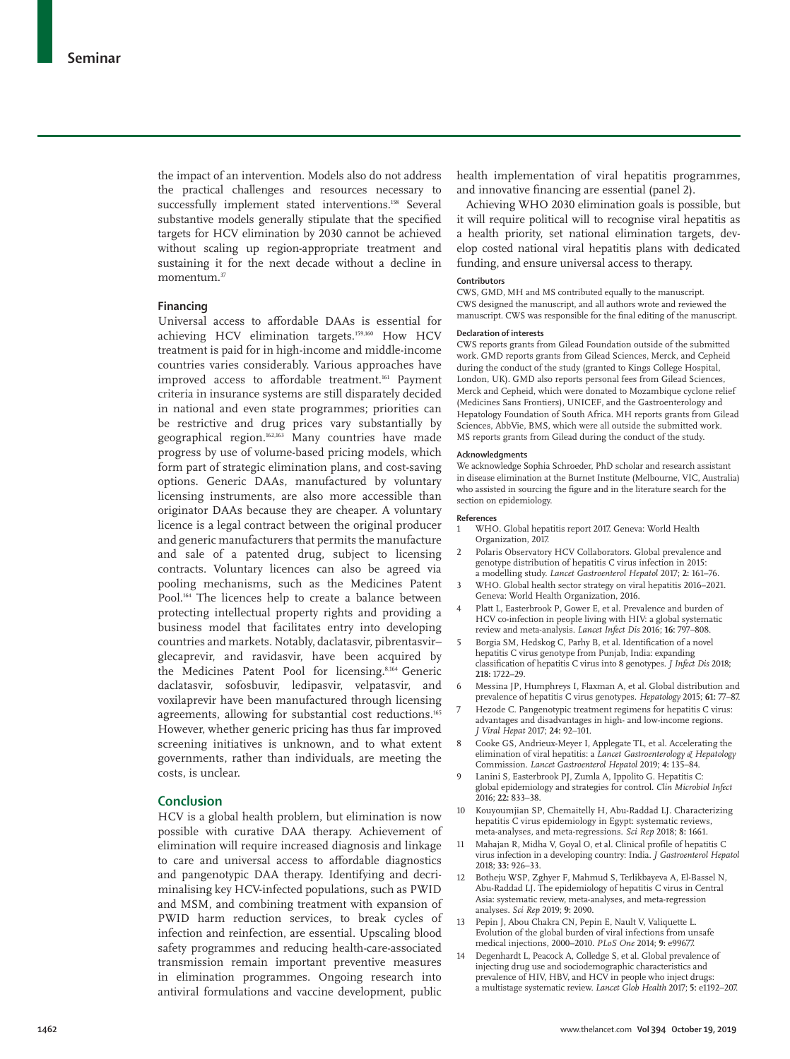the impact of an intervention. Models also do not address the practical challenges and resources necessary to successfully implement stated interventions.<sup>158</sup> Several substantive models generally stipulate that the specified targets for HCV elimination by 2030 cannot be achieved without scaling up region-appropriate treatment and sustaining it for the next decade without a decline in momentum.37

## **Financing**

Universal access to affordable DAAs is essential for achieving HCV elimination targets.159,160 How HCV treatment is paid for in high-income and middle-income countries varies considerably. Various approaches have improved access to affordable treatment.161 Payment criteria in insurance systems are still disparately decided in national and even state programmes; priorities can be restrictive and drug prices vary substantially by geographical region.162,163 Many countries have made progress by use of volume-based pricing models, which form part of strategic elimination plans, and cost-saving options. Generic DAAs, manufactured by voluntary licensing instruments, are also more accessible than originator DAAs because they are cheaper. A voluntary licence is a legal contract between the original producer and generic manufacturers that permits the manufacture and sale of a patented drug, subject to licensing contracts. Voluntary licences can also be agreed via pooling mechanisms, such as the Medicines Patent Pool.<sup>164</sup> The licences help to create a balance between protecting intellectual property rights and providing a business model that facilitates entry into developing countries and markets. Notably, daclatasvir, pibrentasvir– glecaprevir, and ravidasvir, have been acquired by the Medicines Patent Pool for licensing.<sup>8,164</sup> Generic daclatasvir, sofosbuvir, ledipasvir, velpatasvir, and voxilaprevir have been manufactured through licensing agreements, allowing for substantial cost reductions.<sup>165</sup> However, whether generic pricing has thus far improved screening initiatives is unknown, and to what extent governments, rather than individuals, are meeting the costs, is unclear.

#### **Conclusion**

HCV is a global health problem, but elimination is now possible with curative DAA therapy. Achievement of elimination will require increased diagnosis and linkage to care and universal access to affordable diagnostics and pangenotypic DAA therapy. Identifying and decriminalising key HCV-infected populations, such as PWID and MSM, and combining treatment with expansion of PWID harm reduction services, to break cycles of infection and reinfection, are essential. Upscaling blood safety programmes and reducing health-care-associated transmission remain important preventive measures in elimination programmes. Ongoing research into antiviral formulations and vaccine development, public

health implementation of viral hepatitis programmes, and innovative financing are essential (panel 2).

Achieving WHO 2030 elimination goals is possible, but it will require political will to recognise viral hepatitis as a health priority, set national elimination targets, develop costed national viral hepatitis plans with dedicated funding, and ensure universal access to therapy.

#### **Contributors**

CWS, GMD, MH and MS contributed equally to the manuscript. CWS designed the manuscript, and all authors wrote and reviewed the manuscript. CWS was responsible for the final editing of the manuscript.

#### **Declaration of interests**

CWS reports grants from Gilead Foundation outside of the submitted work. GMD reports grants from Gilead Sciences, Merck, and Cepheid during the conduct of the study (granted to Kings College Hospital, London, UK). GMD also reports personal fees from Gilead Sciences, Merck and Cepheid, which were donated to Mozambique cyclone relief (Medicines Sans Frontiers), UNICEF, and the Gastroenterology and Hepatology Foundation of South Africa. MH reports grants from Gilead Sciences, AbbVie, BMS, which were all outside the submitted work. MS reports grants from Gilead during the conduct of the study.

#### **Acknowledgments**

We acknowledge Sophia Schroeder, PhD scholar and research assistant in disease elimination at the Burnet Institute (Melbourne, VIC, Australia) who assisted in sourcing the figure and in the literature search for the section on epidemiology.

#### **References**

- 1 WHO. Global hepatitis report 2017. Geneva: World Health Organization, 2017.
- 2 Polaris Observatory HCV Collaborators. Global prevalence and genotype distribution of hepatitis C virus infection in 2015: a modelling study. *Lancet Gastroenterol Hepatol* 2017; **2:** 161–76.
- 3 WHO. Global health sector strategy on viral hepatitis 2016–2021. Geneva: World Health Organization, 2016.
- 4 Platt L, Easterbrook P, Gower E, et al. Prevalence and burden of HCV co-infection in people living with HIV: a global systematic review and meta-analysis. *Lancet Infect Dis* 2016; **16:** 797–808.
- 5 Borgia SM, Hedskog C, Parhy B, et al. Identification of a novel hepatitis C virus genotype from Punjab, India: expanding classification of hepatitis C virus into 8 genotypes. *J Infect Dis* 2018; **218:** 1722–29.
- 6 Messina JP, Humphreys I, Flaxman A, et al. Global distribution and prevalence of hepatitis C virus genotypes. *Hepatology* 2015; **61:** 77–87.
- Hezode C. Pangenotypic treatment regimens for hepatitis C virus: advantages and disadvantages in high- and low-income regions. *J Viral Hepat* 2017; **24:** 92–101.
- 8 Cooke GS, Andrieux-Meyer I, Applegate TL, et al. Accelerating the elimination of viral hepatitis: a *Lancet Gastroenterology & Hepatology* Commission. *Lancet Gastroenterol Hepatol* 2019; **4:** 135–84.
- Lanini S, Easterbrook PJ, Zumla A, Ippolito G. Hepatitis C: global epidemiology and strategies for control. *Clin Microbiol Infect* 2016; **22:** 833–38.
- 10 Kouyoumjian SP, Chemaitelly H, Abu-Raddad LJ. Characterizing hepatitis C virus epidemiology in Egypt: systematic reviews, meta-analyses, and meta-regressions. *Sci Rep* 2018; **8:** 1661.
- 11 Mahajan R, Midha V, Goyal O, et al. Clinical profile of hepatitis C virus infection in a developing country: India. *J Gastroenterol Hepatol* 2018; **33:** 926–33.
- 12 Botheju WSP, Zghyer F, Mahmud S, Terlikbayeva A, El-Bassel N, Abu-Raddad LJ. The epidemiology of hepatitis C virus in Central Asia: systematic review, meta-analyses, and meta-regression analyses. *Sci Rep* 2019; **9:** 2090.
- Pepin J, Abou Chakra CN, Pepin E, Nault V, Valiquette L. Evolution of the global burden of viral infections from unsafe medical injections, 2000–2010. *PLoS One* 2014; **9:** e99677.
- 14 Degenhardt L, Peacock A, Colledge S, et al. Global prevalence of injecting drug use and sociodemographic characteristics and prevalence of HIV, HBV, and HCV in people who inject drugs a multistage systematic review. *Lancet Glob Health* 2017; **5:** e1192–207.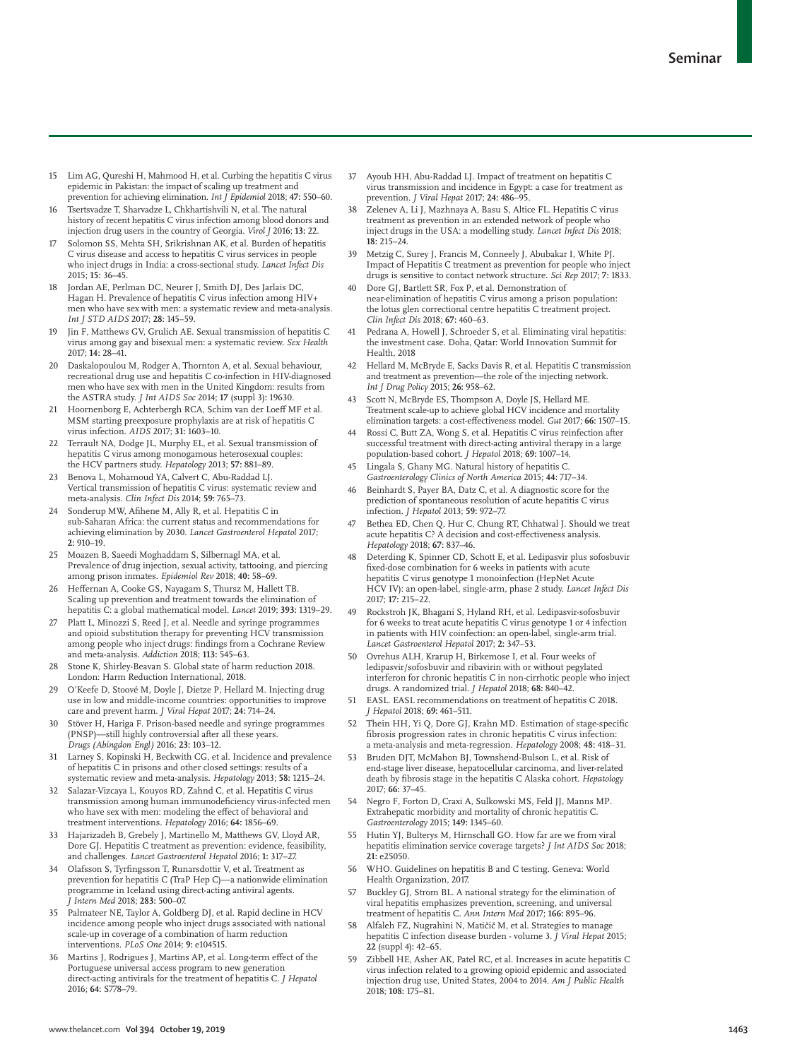- 15 Lim AG, Qureshi H, Mahmood H, et al. Curbing the hepatitis C virus epidemic in Pakistan: the impact of scaling up treatment and prevention for achieving elimination. *Int J Epidemiol* 2018; **47:** 550–60.
- 16 Tsertsvadze T, Sharvadze L, Chkhartishvili N, et al. The natural history of recent hepatitis C virus infection among blood donors and injection drug users in the country of Georgia. *Virol J* 2016; **13:** 22.
- Solomon SS, Mehta SH, Srikrishnan AK, et al. Burden of hepatitis C virus disease and access to hepatitis C virus services in people who inject drugs in India: a cross-sectional study. *Lancet Infect Dis* 2015; **15:** 36–45.
- 18 Jordan AE, Perlman DC, Neurer J, Smith DJ, Des Jarlais DC, Hagan H. Prevalence of hepatitis C virus infection among HIV+ men who have sex with men: a systematic review and meta-analysis. *Int J STD AIDS* 2017; **28:** 145–59.
- Jin F, Matthews GV, Grulich AE. Sexual transmission of hepatitis C virus among gay and bisexual men: a systematic review. *Sex Health* 2017; **14:** 28–41.
- 20 Daskalopoulou M, Rodger A, Thornton A, et al. Sexual behaviour, recreational drug use and hepatitis C co-infection in HIV-diagnosed men who have sex with men in the United Kingdom: results from the ASTRA study. *J Int AIDS Soc* 2014; **17** (suppl 3)**:** 19630.
- 21 Hoornenborg E, Achterbergh RCA, Schim van der Loeff MF et al. MSM starting preexposure prophylaxis are at risk of hepatitis C virus infection. *AIDS* 2017; **31:** 1603–10.
- 22 Terrault NA, Dodge JL, Murphy EL, et al. Sexual transmission of hepatitis C virus among monogamous heterosexual couples: the HCV partners study. *Hepatology* 2013; **57:** 881–89.
- 23 Benova L, Mohamoud YA, Calvert C, Abu-Raddad LJ. Vertical transmission of hepatitis C virus: systematic review and meta-analysis. *Clin Infect Dis* 2014; **59:** 765–73.
- 24 Sonderup MW, Afihene M, Ally R, et al. Hepatitis C in sub-Saharan Africa: the current status and recommendations for achieving elimination by 2030. *Lancet Gastroenterol Hepatol* 2017; **2:** 910–19.
- 25 Moazen B, Saeedi Moghaddam S, Silbernagl MA, et al. Prevalence of drug injection, sexual activity, tattooing, and piercing among prison inmates. *Epidemiol Rev* 2018; **40:** 58–69.
- Heffernan A, Cooke GS, Nayagam S, Thursz M, Hallett TB. Scaling up prevention and treatment towards the elimination of hepatitis C: a global mathematical model. *Lancet* 2019; **393:** 1319–29.
- 27 Platt L, Minozzi S, Reed J, et al. Needle and syringe programmes and opioid substitution therapy for preventing HCV transmission among people who inject drugs: findings from a Cochrane Review and meta-analysis. *Addiction* 2018; **113:** 545–63.
- 28 Stone K, Shirley-Beavan S. Global state of harm reduction 2018. London: Harm Reduction International, 2018.
- 29 O'Keefe D, Stoové M, Doyle J, Dietze P, Hellard M. Injecting drug use in low and middle-income countries: opportunities to improve care and prevent harm. *J Viral Hepat* 2017; **24:** 714–24.
- 30 Stöver H, Hariga F. Prison-based needle and syringe programmes (PNSP)—still highly controversial after all these years. *Drugs (Abingdon Engl)* 2016; **23:** 103–12.
- 31 Larney S, Kopinski H, Beckwith CG, et al. Incidence and prevalence of hepatitis C in prisons and other closed settings: results of a systematic review and meta-analysis. *Hepatology* 2013; **58:** 1215–24.
- 32 Salazar-Vizcaya L, Kouyos RD, Zahnd C, et al. Hepatitis C virus transmission among human immunodeficiency virus-infected men who have sex with men: modeling the effect of behavioral and treatment interventions. *Hepatology* 2016; **64:** 1856–69.
- 33 Hajarizadeh B, Grebely J, Martinello M, Matthews GV, Lloyd AR, Dore GJ. Hepatitis C treatment as prevention: evidence, feasibility, and challenges. *Lancet Gastroenterol Hepatol* 2016; **1:** 317–27.
- 34 Olafsson S, Tyrfingsson T, Runarsdottir V, et al. Treatment as prevention for hepatitis C (TraP Hep C)—a nationwide elimination programme in Iceland using direct-acting antiviral agents. *J Intern Med* 2018; **283:** 500–07.
- 35 Palmateer NE, Taylor A, Goldberg DJ, et al. Rapid decline in HCV incidence among people who inject drugs associated with national scale-up in coverage of a combination of harm reduction interventions. *PLoS One* 2014; **9:** e104515.
- 36 Martins J, Rodrigues J, Martins AP, et al. Long-term effect of the Portuguese universal access program to new generation direct-acting antivirals for the treatment of hepatitis C. *J Hepatol* 2016; **64:** S778–79.
- 37 Ayoub HH, Abu-Raddad LJ. Impact of treatment on hepatitis C virus transmission and incidence in Egypt: a case for treatment as prevention. *J Viral Hepat* 2017; **24:** 486–95.
- 38 Zelenev A, Li J, Mazhnaya A, Basu S, Altice FL. Hepatitis C virus treatment as prevention in an extended network of people who inject drugs in the USA: a modelling study. *Lancet Infect Dis* 2018; **18:** 215–24.
- Metzig C, Surey J, Francis M, Conneely J, Abubakar I, White PJ. Impact of Hepatitis C treatment as prevention for people who inject drugs is sensitive to contact network structure. *Sci Rep* 2017; **7:** 1833.
- Dore GJ, Bartlett SR, Fox P, et al. Demonstration of near-elimination of hepatitis C virus among a prison population: the lotus glen correctional centre hepatitis C treatment project. *Clin Infect Dis* 2018; **67:** 460–63.
- Pedrana A, Howell J, Schroeder S, et al. Eliminating viral hepatitis: the investment case. Doha, Qatar: World Innovation Summit for Health, 2018
- 42 Hellard M, McBryde E, Sacks Davis R, et al. Hepatitis C transmission and treatment as prevention—the role of the injecting network. *Int J Drug Policy* 2015; **26:** 958–62.
- 43 Scott N, McBryde ES, Thompson A, Doyle JS, Hellard ME. Treatment scale-up to achieve global HCV incidence and mortality elimination targets: a cost-effectiveness model. *Gut* 2017; **66:** 1507–15.
- Rossi C, Butt ZA, Wong S, et al. Hepatitis C virus reinfection after successful treatment with direct-acting antiviral therapy in a large population-based cohort. *J Hepatol* 2018; **69:** 1007–14.
- 45 Lingala S, Ghany MG. Natural history of hepatitis C. *Gastroenterology Clinics of North America* 2015; **44:** 717–34.
- Beinhardt S, Payer BA, Datz C, et al. A diagnostic score for the prediction of spontaneous resolution of acute hepatitis C virus infection. *J Hepatol* 2013; **59:** 972–77.
- 47 Bethea ED, Chen Q, Hur C, Chung RT, Chhatwal J. Should we treat acute hepatitis C? A decision and cost-effectiveness analysis. *Hepatology* 2018; **67:** 837–46.
- 48 Deterding K, Spinner CD, Schott E, et al. Ledipasvir plus sofosbuvir fixed-dose combination for 6 weeks in patients with acute hepatitis C virus genotype 1 monoinfection (HepNet Acute HCV IV): an open-label, single-arm, phase 2 study. *Lancet Infect Dis* 2017; **17:** 215–22.
- 49 Rockstroh JK, Bhagani S, Hyland RH, et al. Ledipasvir-sofosbuvir for 6 weeks to treat acute hepatitis C virus genotype 1 or 4 infection in patients with HIV coinfection: an open-label, single-arm trial. *Lancet Gastroenterol Hepatol* 2017; **2:** 347–53.
- 50 Ovrehus ALH, Krarup H, Birkemose I, et al. Four weeks of ledipasvir/sofosbuvir and ribavirin with or without pegylated interferon for chronic hepatitis C in non-cirrhotic people who inject drugs. A randomized trial. *J Hepatol* 2018; **68:** 840–42.
- 51 EASL. EASL recommendations on treatment of hepatitis C 2018. *J Hepatol* 2018; **69:** 461–511.
- 52 Thein HH, Yi Q, Dore GJ, Krahn MD. Estimation of stage-specific fibrosis progression rates in chronic hepatitis C virus infection: a meta-analysis and meta-regression. *Hepatology* 2008; **48:** 418–31.
- 53 Bruden DJT, McMahon BJ, Townshend-Bulson L, et al. Risk of end-stage liver disease, hepatocellular carcinoma, and liver-related death by fibrosis stage in the hepatitis C Alaska cohort. *Hepatology* 2017; **66:** 37–45.
- 54 Negro F, Forton D, Craxi A, Sulkowski MS, Feld JJ, Manns MP. Extrahepatic morbidity and mortality of chronic hepatitis C. *Gastroenterology* 2015; **149:** 1345–60.
- 55 Hutin YJ, Bulterys M, Hirnschall GO. How far are we from viral hepatitis elimination service coverage targets? *J Int AIDS Soc* 2018; **21:** e25050.
- 56 WHO. Guidelines on hepatitis B and C testing. Geneva: World Health Organization, 2017.
- 57 Buckley GJ, Strom BL. A national strategy for the elimination of viral hepatitis emphasizes prevention, screening, and universal treatment of hepatitis C. *Ann Intern Med* 2017; **166:** 895–96.
- 58 Alfaleh FZ, Nugrahini N, Matičič M, et al. Strategies to manage hepatitis C infection disease burden - volume 3. *J Viral Hepat* 2015; **22** (suppl 4)**:** 42–65.
- 59 Zibbell HE, Asher AK, Patel RC, et al. Increases in acute hepatitis C virus infection related to a growing opioid epidemic and associated injection drug use, United States, 2004 to 2014. *Am J Public Health* 2018; **108:** 175–81.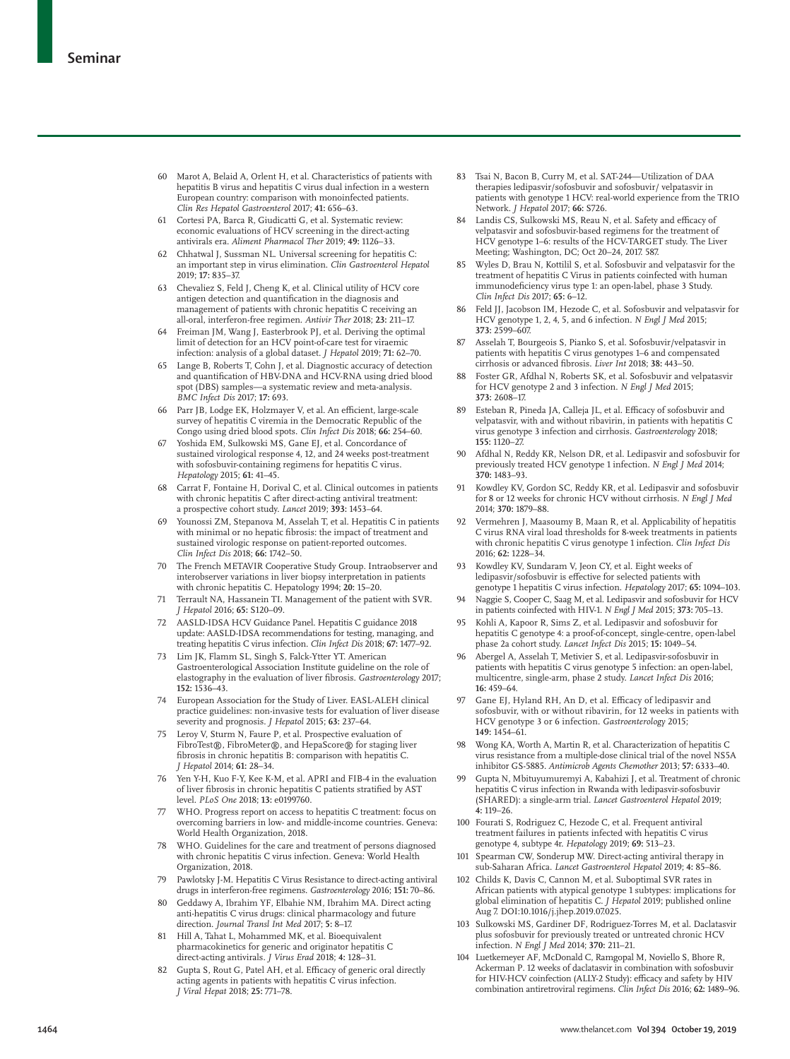- 60 Marot A, Belaid A, Orlent H, et al. Characteristics of patients with hepatitis B virus and hepatitis C virus dual infection in a western European country: comparison with monoinfected patients. *Clin Res Hepatol Gastroenterol* 2017; **41:** 656–63.
- 61 Cortesi PA, Barca R, Giudicatti G, et al. Systematic review: economic evaluations of HCV screening in the direct-acting antivirals era. *Aliment Pharmacol Ther* 2019; **49:** 1126–33.
- 62 Chhatwal J, Sussman NL. Universal screening for hepatitis C: an important step in virus elimination. *Clin Gastroenterol Hepatol*  2019; **17:** 835–37.
- 63 Chevaliez S, Feld J, Cheng K, et al. Clinical utility of HCV core antigen detection and quantification in the diagnosis and management of patients with chronic hepatitis C receiving an all-oral, interferon-free regimen. *Antivir Ther* 2018; **23:** 211–17.
- Freiman JM, Wang J, Easterbrook PJ, et al. Deriving the optimal limit of detection for an HCV point-of-care test for viraemic infection: analysis of a global dataset. *J Hepatol* 2019; **71:** 62–70.
- 65 Lange B, Roberts T, Cohn J, et al. Diagnostic accuracy of detection and quantification of HBV-DNA and HCV-RNA using dried blood spot (DBS) samples—a systematic review and meta-analysis. *BMC Infect Dis* 2017; **17:** 693.
- 66 Parr JB, Lodge EK, Holzmayer V, et al. An efficient, large-scale survey of hepatitis C viremia in the Democratic Republic of the Congo using dried blood spots. *Clin Infect Dis* 2018; **66:** 254–60.
- Yoshida EM, Sulkowski MS, Gane EJ, et al. Concordance of sustained virological response 4, 12, and 24 weeks post-treatment with sofosbuvir-containing regimens for hepatitis C virus. *Hepatology* 2015; **61:** 41–45.
- 68 Carrat F, Fontaine H, Dorival C, et al. Clinical outcomes in patients with chronic hepatitis C after direct-acting antiviral treatment: a prospective cohort study. *Lancet* 2019; **393:** 1453–64.
- 69 Younossi ZM, Stepanova M, Asselah T, et al. Hepatitis C in patients with minimal or no hepatic fibrosis: the impact of treatment and sustained virologic response on patient-reported outcomes. *Clin Infect Dis* 2018; **66:** 1742–50.
- 70 The French METAVIR Cooperative Study Group. Intraobserver and interobserver variations in liver biopsy interpretation in patients with chronic hepatitis C. Hepatology 1994; **20:** 15–20.
- Terrault NA, Hassanein TI. Management of the patient with SVR. *J Hepatol* 2016; **65:** S120–09.
- 72 AASLD-IDSA HCV Guidance Panel. Hepatitis C guidance 2018 update: AASLD-IDSA recommendations for testing, managing, and treating hepatitis C virus infection. *Clin Infect Dis* 2018; **67:** 1477–92.
- 73 Lim JK, Flamm SL, Singh S, Falck-Ytter YT. American Gastroenterological Association Institute guideline on the role of elastography in the evaluation of liver fibrosis. *Gastroenterology* 2017; **152:** 1536–43.
- 74 European Association for the Study of Liver. EASL-ALEH clinical practice guidelines: non-invasive tests for evaluation of liver disease severity and prognosis. *J Hepatol* 2015; **63:** 237–64.
- Leroy V, Sturm N, Faure P, et al. Prospective evaluation of FibroTest®, FibroMeter®, and HepaScore® for staging liver fibrosis in chronic hepatitis B: comparison with hepatitis C. *J Hepatol* 2014; **61:** 28–34.
- 76 Yen Y-H, Kuo F-Y, Kee K-M, et al. APRI and FIB-4 in the evaluation of liver fibrosis in chronic hepatitis C patients stratified by AST level. *PLoS One* 2018; **13:** e0199760.
- 77 WHO. Progress report on access to hepatitis C treatment: focus on overcoming barriers in low- and middle-income countries. Geneva: World Health Organization, 2018.
- 78 WHO. Guidelines for the care and treatment of persons diagnosed with chronic hepatitis C virus infection. Geneva: World Health Organization, 2018.
- 79 Pawlotsky J-M. Hepatitis C Virus Resistance to direct-acting antiviral drugs in interferon-free regimens. *Gastroenterology* 2016; **151:** 70–86.
- 80 Geddawy A, Ibrahim YF, Elbahie NM, Ibrahim MA. Direct acting anti-hepatitis C virus drugs: clinical pharmacology and future direction. *Journal Transl Int Med* 2017; **5:** 8–17.
- 81 Hill A, Tahat L, Mohammed MK, et al. Bioequivalent pharmacokinetics for generic and originator hepatitis C direct-acting antivirals. *J Virus Erad* 2018; **4:** 128–31.
- Gupta S, Rout G, Patel AH, et al. Efficacy of generic oral directly acting agents in patients with hepatitis C virus infection. *J Viral Hepat* 2018; **25:** 771–78.
- 83 Tsai N, Bacon B, Curry M, et al. SAT-244—Utilization of DAA therapies ledipasvir/sofosbuvir and sofosbuvir/ velpatasvir in patients with genotype 1 HCV: real-world experience from the TRIO Network. *J Hepatol* 2017; **66:** S726.
- 84 Landis CS, Sulkowski MS, Reau N, et al. Safety and efficacy of velpatasvir and sofosbuvir-based regimens for the treatment of HCV genotype 1–6: results of the HCV-TARGET study. The Liver Meeting; Washington, DC; Oct 20–24, 2017. 587.
- Wyles D, Brau N, Kottilil S, et al. Sofosbuvir and velpatasvir for the treatment of hepatitis C Virus in patients coinfected with human immunodeficiency virus type 1: an open-label, phase 3 Study. *Clin Infect Dis* 2017; **65:** 6–12.
- 86 Feld JJ, Jacobson IM, Hezode C, et al. Sofosbuvir and velpatasvir for HCV genotype 1, 2, 4, 5, and 6 infection. *N Engl J Med* 2015; **373:** 2599–607.
- Asselah T, Bourgeois S, Pianko S, et al. Sofosbuvir/velpatasvir in patients with hepatitis C virus genotypes 1–6 and compensated cirrhosis or advanced fibrosis. *Liver Int* 2018; **38:** 443–50.
- Foster GR, Afdhal N, Roberts SK, et al. Sofosbuvir and velpatasvir for HCV genotype 2 and 3 infection. *N Engl J Med* 2015; **373:** 2608–17.
- 89 Esteban R, Pineda JA, Calleja JL, et al. Efficacy of sofosbuvir and velpatasvir, with and without ribavirin, in patients with hepatitis C virus genotype 3 infection and cirrhosis. *Gastroenterology* 2018; **155:** 1120–27.
- 90 Afdhal N, Reddy KR, Nelson DR, et al. Ledipasvir and sofosbuvir for previously treated HCV genotype 1 infection. *N Engl J Med* 2014; **370:** 1483–93.
- 91 Kowdley KV, Gordon SC, Reddy KR, et al. Ledipasvir and sofosbuvir for 8 or 12 weeks for chronic HCV without cirrhosis. *N Engl J Med* 2014; **370:** 1879–88.
- 92 Vermehren J, Maasoumy B, Maan R, et al. Applicability of hepatitis C virus RNA viral load thresholds for 8-week treatments in patients with chronic hepatitis C virus genotype 1 infection. *Clin Infect Dis* 2016; **62:** 1228–34.
- 93 Kowdley KV, Sundaram V, Jeon CY, et al. Eight weeks of ledipasvir/sofosbuvir is effective for selected patients with genotype 1 hepatitis C virus infection. *Hepatology* 2017; **65:** 1094–103.
- Naggie S, Cooper C, Saag M, et al. Ledipasvir and sofosbuvir for HCV in patients coinfected with HIV-1. *N Engl J Med* 2015; **373:** 705–13.
- 95 Kohli A, Kapoor R, Sims Z, et al. Ledipasvir and sofosbuvir for hepatitis C genotype 4: a proof-of-concept, single-centre, open-label phase 2a cohort study. *Lancet Infect Dis* 2015; **15:** 1049–54.
- 96 Abergel A, Asselah T, Metivier S, et al. Ledipasvir-sofosbuvir in patients with hepatitis C virus genotype 5 infection: an open-label, multicentre, single-arm, phase 2 study. *Lancet Infect Dis* 2016; **16:** 459–64.
- 97 Gane EJ, Hyland RH, An D, et al. Efficacy of ledipasvir and sofosbuvir, with or without ribavirin, for 12 weeks in patients with HCV genotype 3 or 6 infection. *Gastroenterology* 2015; **149:** 1454–61.
- Wong KA, Worth A, Martin R, et al. Characterization of hepatitis C virus resistance from a multiple-dose clinical trial of the novel NS5A inhibitor GS-5885. *Antimicrob Agents Chemother* 2013; **57:** 6333–40.
- 99 Gupta N, Mbituyumuremyi A, Kabahizi J, et al. Treatment of chronic hepatitis C virus infection in Rwanda with ledipasvir-sofosbuvir (SHARED): a single-arm trial. *Lancet Gastroenterol Hepatol* 2019; **4:** 119–26.
- 100 Fourati S, Rodriguez C, Hezode C, et al. Frequent antiviral treatment failures in patients infected with hepatitis C virus genotype 4, subtype 4r. *Hepatology* 2019; **69:** 513–23.
- 101 Spearman CW, Sonderup MW. Direct-acting antiviral therapy in sub-Saharan Africa. *Lancet Gastroenterol Hepatol* 2019; **4:** 85–86.
- 102 Childs K, Davis C, Cannon M, et al. Suboptimal SVR rates in African patients with atypical genotype 1 subtypes: implications for global elimination of hepatitis C. *J Hepatol* 2019; published online Aug 7. DOI:10.1016/j.jhep.2019.07.025.
- 103 Sulkowski MS, Gardiner DF, Rodriguez-Torres M, et al. Daclatasvir plus sofosbuvir for previously treated or untreated chronic HCV infection. *N Engl J Med* 2014; **370:** 211–21.
- 104 Luetkemeyer AF, McDonald C, Ramgopal M, Noviello S, Bhore R, Ackerman P. 12 weeks of daclatasvir in combination with sofosbuvir for HIV-HCV coinfection (ALLY-2 Study): efficacy and safety by HIV combination antiretroviral regimens. *Clin Infect Dis* 2016; **62:** 1489–96.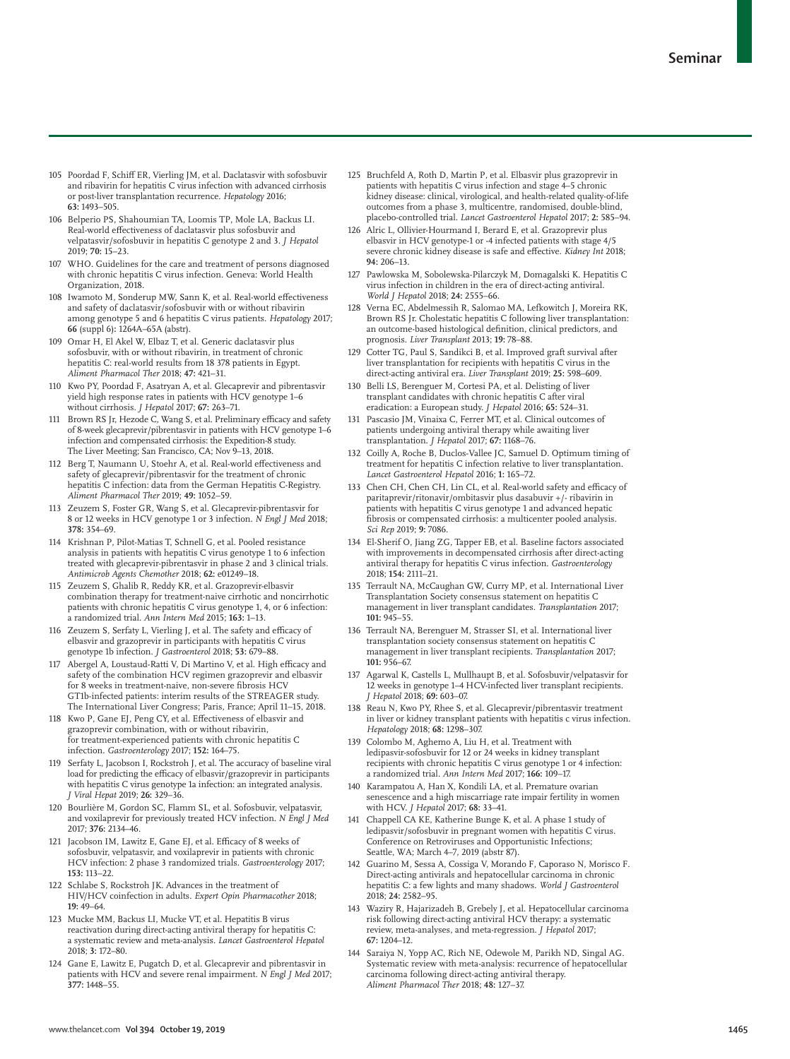- 105 Poordad F, Schiff ER, Vierling JM, et al. Daclatasvir with sofosbuvir and ribavirin for hepatitis C virus infection with advanced cirrhosis or post-liver transplantation recurrence. *Hepatology* 2016; **63:** 1493–505.
- 106 Belperio PS, Shahoumian TA, Loomis TP, Mole LA, Backus LI. Real-world effectiveness of daclatasvir plus sofosbuvir and velpatasvir/sofosbuvir in hepatitis C genotype 2 and 3. *J Hepatol* 2019; **70:** 15–23.
- 107 WHO. Guidelines for the care and treatment of persons diagnosed with chronic hepatitis C virus infection. Geneva: World Health Organization, 2018.
- 108 Iwamoto M, Sonderup MW, Sann K, et al. Real-world effectiveness and safety of daclatasvir/sofosbuvir with or without ribavirin among genotype 5 and 6 hepatitis C virus patients. *Hepatology* 2017; **66** (suppl 6)**:** 1264A–65A (abstr).
- 109 Omar H, El Akel W, Elbaz T, et al. Generic daclatasvir plus sofosbuvir, with or without ribavirin, in treatment of chronic hepatitis C: real-world results from 18 378 patients in Egypt. *Aliment Pharmacol Ther* 2018; **47:** 421–31.
- 110 Kwo PY, Poordad F, Asatryan A, et al. Glecaprevir and pibrentasvir yield high response rates in patients with HCV genotype 1–6 without cirrhosis. *J Hepatol* 2017; **67:** 263–71.
- 111 Brown RS Jr, Hezode C, Wang S, et al. Preliminary efficacy and safety of 8-week glecaprevir/pibrentasvir in patients with HCV genotype 1–6 infection and compensated cirrhosis: the Expedition-8 study. The Liver Meeting; San Francisco, CA; Nov 9-13, 2018.
- 112 Berg T, Naumann U, Stoehr A, et al. Real-world effectiveness and safety of glecaprevir/pibrentasvir for the treatment of chronic hepatitis C infection: data from the German Hepatitis C-Registry. *Aliment Pharmacol Ther* 2019; **49:** 1052–59.
- 113 Zeuzem S, Foster GR, Wang S, et al. Glecaprevir-pibrentasvir for 8 or 12 weeks in HCV genotype 1 or 3 infection. *N Engl J Med* 2018; **378:** 354–69.
- 114 Krishnan P, Pilot-Matias T, Schnell G, et al. Pooled resistance analysis in patients with hepatitis C virus genotype 1 to 6 infection treated with glecaprevir-pibrentasvir in phase 2 and 3 clinical trials. *Antimicrob Agents Chemother* 2018; **62:** e01249–18.
- 115 Zeuzem S, Ghalib R, Reddy KR, et al. Grazoprevir-elbasvir combination therapy for treatment-naive cirrhotic and noncirrhotic patients with chronic hepatitis C virus genotype 1, 4, or 6 infection: a randomized trial. *Ann Intern Med* 2015; **163:** 1–13.
- 116 Zeuzem S, Serfaty L, Vierling J, et al. The safety and efficacy of elbasvir and grazoprevir in participants with hepatitis C virus genotype 1b infection. *J Gastroenterol* 2018; **53:** 679–88.
- 117 Abergel A, Loustaud-Ratti V, Di Martino V, et al. High efficacy and safety of the combination HCV regimen grazoprevir and elbasvir for 8 weeks in treatment-naive, non-severe fibrosis HCV GT1b-infected patients: interim results of the STREAGER study. The International Liver Congress; Paris, France; April 11–15, 2018.
- 118 Kwo P, Gane EJ, Peng CY, et al. Effectiveness of elbasvir and grazoprevir combination, with or without ribavirin, for treatment-experienced patients with chronic hepatitis C infection. *Gastroenterology* 2017; **152:** 164–75.
- 119 Serfaty L, Jacobson I, Rockstroh J, et al. The accuracy of baseline viral load for predicting the efficacy of elbasvir/grazoprevir in participants with hepatitis C virus genotype 1a infection: an integrated analysis. *J Viral Hepat* 2019; **26:** 329–36.
- 120 Bourlière M, Gordon SC, Flamm SL, et al. Sofosbuvir, velpatasvir, and voxilaprevir for previously treated HCV infection. *N Engl J Med* 2017; **376:** 2134–46.
- 121 Jacobson IM, Lawitz E, Gane EJ, et al. Efficacy of 8 weeks of sofosbuvir, velpatasvir, and voxilaprevir in patients with chronic HCV infection: 2 phase 3 randomized trials. *Gastroenterology* 2017; **153:** 113–22.
- 122 Schlabe S, Rockstroh JK. Advances in the treatment of HIV/HCV coinfection in adults. *Expert Opin Pharmacother* 2018; **19:** 49–64.
- 123 Mucke MM, Backus LI, Mucke VT, et al. Hepatitis B virus reactivation during direct-acting antiviral therapy for hepatitis C: a systematic review and meta-analysis. *Lancet Gastroenterol Hepatol* 2018; **3:** 172–80.
- 124 Gane E, Lawitz E, Pugatch D, et al. Glecaprevir and pibrentasvir in patients with HCV and severe renal impairment. *N Engl J Med* 2017; **377:** 1448–55.
- 125 Bruchfeld A, Roth D, Martin P, et al. Elbasvir plus grazoprevir in patients with hepatitis C virus infection and stage 4–5 chronic kidney disease: clinical, virological, and health-related quality-of-life outcomes from a phase 3, multicentre, randomised, double-blind, placebo-controlled trial. *Lancet Gastroenterol Hepatol* 2017; **2:** 585–94.
- 126 Alric L, Ollivier-Hourmand I, Berard E, et al. Grazoprevir plus elbasvir in HCV genotype-1 or -4 infected patients with stage 4/5 severe chronic kidney disease is safe and effective. *Kidney Int* 2018; **94:** 206–13.
- 127 Pawlowska M, Sobolewska-Pilarczyk M, Domagalski K. Hepatitis C virus infection in children in the era of direct-acting antiviral. *World J Hepatol* 2018; **24:** 2555–66.
- 128 Verna EC, Abdelmessih R, Salomao MA, Lefkowitch J, Moreira RK, Brown RS Jr. Cholestatic hepatitis C following liver transplantation: an outcome-based histological definition, clinical predictors, and prognosis. *Liver Transplant* 2013; **19:** 78–88.
- 129 Cotter TG, Paul S, Sandikci B, et al. Improved graft survival after liver transplantation for recipients with hepatitis C virus in the direct-acting antiviral era. *Liver Transplant* 2019; **25:** 598–609.
- 130 Belli LS, Berenguer M, Cortesi PA, et al. Delisting of liver transplant candidates with chronic hepatitis C after viral eradication: a European study. *J Hepatol* 2016; **65:** 524–31.
- 131 Pascasio JM, Vinaixa C, Ferrer MT, et al. Clinical outcomes of patients undergoing antiviral therapy while awaiting liver transplantation. *J Hepatol* 2017; **67:** 1168–76.
- 132 Coilly A, Roche B, Duclos-Vallee JC, Samuel D. Optimum timing of treatment for hepatitis C infection relative to liver transplantation. *Lancet Gastroenterol Hepatol* 2016; **1:** 165–72.
- 133 Chen CH, Chen CH, Lin CL, et al. Real-world safety and efficacy of paritaprevir/ritonavir/ombitasvir plus dasabuvir +/- ribavirin in patients with hepatitis C virus genotype 1 and advanced hepatic fibrosis or compensated cirrhosis: a multicenter pooled analysis. *Sci Rep* 2019; **9:** 7086.
- 134 El-Sherif O, Jiang ZG, Tapper EB, et al. Baseline factors associated with improvements in decompensated cirrhosis after direct-acting antiviral therapy for hepatitis C virus infection. *Gastroenterology* 2018; **154:** 2111–21.
- 135 Terrault NA, McCaughan GW, Curry MP, et al. International Liver Transplantation Society consensus statement on hepatitis C management in liver transplant candidates. *Transplantation* 2017; **101:** 945–55.
- 136 Terrault NA, Berenguer M, Strasser SI, et al. International liver transplantation society consensus statement on hepatitis C management in liver transplant recipients. *Transplantation* 2017; **101:** 956–67.
- 137 Agarwal K, Castells L, Mullhaupt B, et al. Sofosbuvir/velpatasvir for 12 weeks in genotype 1–4 HCV-infected liver transplant recipients. *J Hepatol* 2018; **69:** 603–07.
- 138 Reau N, Kwo PY, Rhee S, et al. Glecaprevir/pibrentasvir treatment in liver or kidney transplant patients with hepatitis c virus infection. *Hepatology* 2018; **68:** 1298–307.
- 139 Colombo M, Aghemo A, Liu H, et al. Treatment with ledipasvir-sofosbuvir for 12 or 24 weeks in kidney transplant recipients with chronic hepatitis C virus genotype 1 or 4 infection: a randomized trial. *Ann Intern Med* 2017; **166:** 109–17.
- 140 Karampatou A, Han X, Kondili LA, et al. Premature ovarian senescence and a high miscarriage rate impair fertility in women with HCV. *J Hepatol* 2017; **68:** 33–41.
- 141 Chappell CA KE, Katherine Bunge K, et al. A phase 1 study of ledipasvir/sofosbuvir in pregnant women with hepatitis C virus. Conference on Retroviruses and Opportunistic Infections; Seattle, WA; March 4–7, 2019 (abstr 87).
- 142 Guarino M, Sessa A, Cossiga V, Morando F, Caporaso N, Morisco F. Direct-acting antivirals and hepatocellular carcinoma in chronic hepatitis C: a few lights and many shadows. *World J Gastroenterol* 2018; **24:** 2582–95.
- 143 Waziry R, Hajarizadeh B, Grebely J, et al. Hepatocellular carcinoma risk following direct-acting antiviral HCV therapy: a systematic review, meta-analyses, and meta-regression. *J Hepatol* 2017; **67:** 1204–12.
- Saraiya N, Yopp AC, Rich NE, Odewole M, Parikh ND, Singal AG. Systematic review with meta-analysis: recurrence of hepatocellular carcinoma following direct-acting antiviral therapy. *Aliment Pharmacol Ther* 2018; **48:** 127–37.